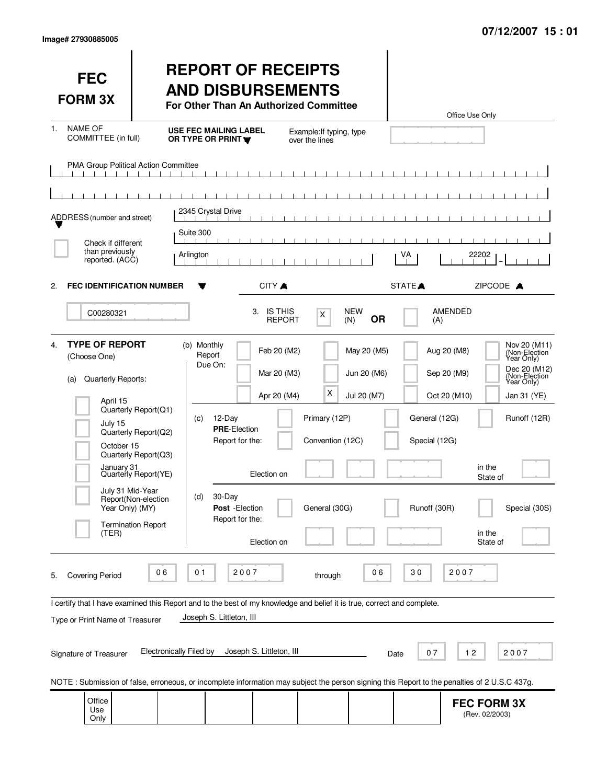| <b>FEC</b><br><b>FORM 3X</b>                                                                                                                                                           |                                                                                                                                                  | <b>REPORT OF RECEIPTS</b><br><b>AND DISBURSEMENTS</b><br>For Other Than An Authorized Committee                                                                                                                               |                                                         |                                           |                                                | Office Use Only                                                                                                                                                                                                                      |
|----------------------------------------------------------------------------------------------------------------------------------------------------------------------------------------|--------------------------------------------------------------------------------------------------------------------------------------------------|-------------------------------------------------------------------------------------------------------------------------------------------------------------------------------------------------------------------------------|---------------------------------------------------------|-------------------------------------------|------------------------------------------------|--------------------------------------------------------------------------------------------------------------------------------------------------------------------------------------------------------------------------------------|
| <b>NAME OF</b><br>1.<br>COMMITTEE (in full)                                                                                                                                            |                                                                                                                                                  | <b>USE FEC MAILING LABEL</b><br>OR TYPE OR PRINT                                                                                                                                                                              | Example: If typing, type<br>over the lines              |                                           |                                                |                                                                                                                                                                                                                                      |
| PMA Group Political Action Committee                                                                                                                                                   |                                                                                                                                                  |                                                                                                                                                                                                                               |                                                         |                                           |                                                |                                                                                                                                                                                                                                      |
|                                                                                                                                                                                        |                                                                                                                                                  |                                                                                                                                                                                                                               |                                                         |                                           |                                                |                                                                                                                                                                                                                                      |
| ADDRESS (number and street)                                                                                                                                                            |                                                                                                                                                  | 2345 Crystal Drive<br>$\mathbf{1}$ $\mathbf{1}$                                                                                                                                                                               |                                                         |                                           |                                                |                                                                                                                                                                                                                                      |
| Check if different                                                                                                                                                                     | Suite 300                                                                                                                                        |                                                                                                                                                                                                                               |                                                         |                                           |                                                |                                                                                                                                                                                                                                      |
| than previously<br>reported. (ACC)                                                                                                                                                     | Arlington                                                                                                                                        |                                                                                                                                                                                                                               |                                                         |                                           | VA                                             | 22202                                                                                                                                                                                                                                |
| <b>FEC IDENTIFICATION NUMBER</b><br>2.                                                                                                                                                 |                                                                                                                                                  | CITY A                                                                                                                                                                                                                        |                                                         |                                           | STATE <sup></sup>                              | ZIPCODE A                                                                                                                                                                                                                            |
| C00280321                                                                                                                                                                              |                                                                                                                                                  | 3. IS THIS                                                                                                                                                                                                                    | X<br><b>REPORT</b>                                      | <b>NEW</b><br><b>OR</b><br>(N)            | (A)                                            | AMENDED                                                                                                                                                                                                                              |
| <b>TYPE OF REPORT</b><br>4.<br>(Choose One)<br>Quarterly Reports:<br>(a)<br>April 15<br>July 15<br>October 15<br>January 31<br>July 31 Mid-Year<br>Year Only) (MY)<br>(TER)            | Quarterly Report(Q1)<br>Quarterly Report(Q2)<br>Quarterly Report(Q3)<br>Quarterly Report(YE)<br>Report(Non-election<br><b>Termination Report</b> | (b) Monthly<br>Feb 20 (M2)<br>Report<br>Due On:<br>Mar 20 (M3)<br>Apr 20 (M4)<br>12-Day<br>(c)<br><b>PRE-Election</b><br>Report for the:<br>Election on<br>30-Day<br>(d)<br>Post - Election<br>Report for the:<br>Election on | X<br>Primary (12P)<br>Convention (12C)<br>General (30G) | May 20 (M5)<br>Jun 20 (M6)<br>Jul 20 (M7) | General (12G)<br>Special (12G)<br>Runoff (30R) | Nov 20 (M11)<br>(Non-Election<br>Year Only)<br>Aug 20 (M8)<br>Dec 20 (M12)<br>Sep 20 (M9)<br>(Non-Election<br>Year Only)<br>Oct 20 (M10)<br>Jan 31 (YE)<br>Runoff (12R)<br>in the<br>State of<br>Special (30S)<br>in the<br>State of |
| 2007<br>30<br>2007<br>06<br>01<br>06<br><b>Covering Period</b><br>through<br>5.                                                                                                        |                                                                                                                                                  |                                                                                                                                                                                                                               |                                                         |                                           |                                                |                                                                                                                                                                                                                                      |
| I certify that I have examined this Report and to the best of my knowledge and belief it is true, correct and complete.<br>Joseph S. Littleton, III<br>Type or Print Name of Treasurer |                                                                                                                                                  |                                                                                                                                                                                                                               |                                                         |                                           |                                                |                                                                                                                                                                                                                                      |
| Signature of Treasurer                                                                                                                                                                 | Electronically Filed by                                                                                                                          | Joseph S. Littleton, III                                                                                                                                                                                                      |                                                         |                                           | 07<br>Date                                     | 12<br>2007                                                                                                                                                                                                                           |
|                                                                                                                                                                                        |                                                                                                                                                  |                                                                                                                                                                                                                               |                                                         |                                           |                                                | NOTE: Submission of false, erroneous, or incomplete information may subject the person signing this Report to the penalties of 2 U.S.C 437g.                                                                                         |
| Office<br>Use<br>Only                                                                                                                                                                  |                                                                                                                                                  |                                                                                                                                                                                                                               |                                                         |                                           |                                                | <b>FEC FORM 3X</b><br>(Rev. 02/2003)                                                                                                                                                                                                 |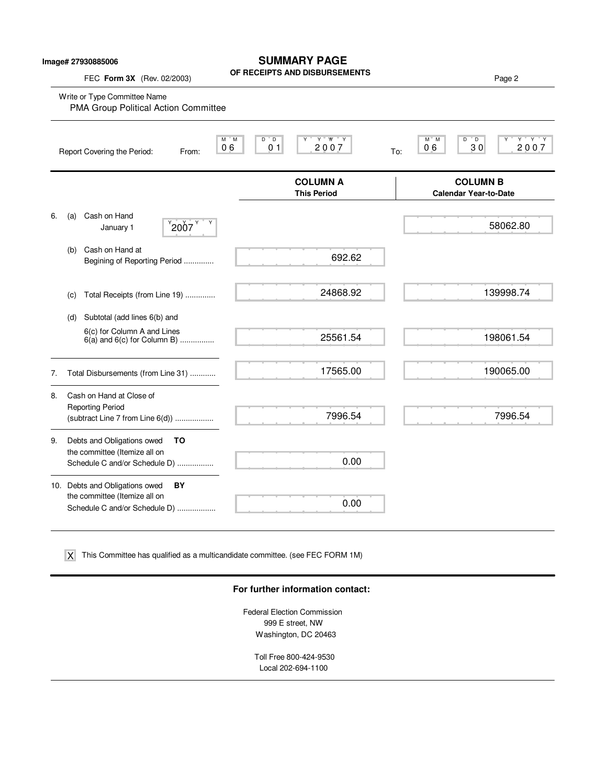## **SUMMARY PAGE**

**OF RECEIPTS AND DISBURSEMENTS**

FEC **Form 3X** (Rev. 02/2003) **Page 2 Product COVID-15** AND DISBUTISHMENTS

|    |     | Write or Type Committee Name<br>PMA Group Political Action Committee  |                                                                      |                                                                |
|----|-----|-----------------------------------------------------------------------|----------------------------------------------------------------------|----------------------------------------------------------------|
|    |     | $^{\circ}$ M<br>м<br>06<br>Report Covering the Period:<br>From:       | $Y$ $W$ $Y$<br>$D^{\prime\prime}$ $D$<br>Υ<br>2007<br>0 <sub>1</sub> | $Y$ $Y$ $Y$<br>D<br>M M<br>" D<br>Υ<br>2007<br>30<br>06<br>To: |
|    |     |                                                                       | <b>COLUMN A</b><br><b>This Period</b>                                | <b>COLUMN B</b><br><b>Calendar Year-to-Date</b>                |
| 6. | (a) | Cash on Hand<br>$^{9}$ 2007 $^{9}$<br>January 1                       |                                                                      | 58062.80                                                       |
|    | (b) | Cash on Hand at<br>Begining of Reporting Period                       | 692.62                                                               |                                                                |
|    | (C) | Total Receipts (from Line 19)                                         | 24868.92                                                             | 139998.74                                                      |
|    | (d) | Subtotal (add lines 6(b) and<br>6(c) for Column A and Lines           |                                                                      |                                                                |
|    |     | $6(a)$ and $6(c)$ for Column B)                                       | 25561.54                                                             | 198061.54                                                      |
| 7. |     | Total Disbursements (from Line 31)                                    | 17565.00                                                             | 190065.00                                                      |
| 8. |     | Cash on Hand at Close of                                              |                                                                      |                                                                |
|    |     | <b>Reporting Period</b><br>(subtract Line 7 from Line 6(d))           | 7996.54                                                              | 7996.54                                                        |
| 9. |     | Debts and Obligations owed<br>то<br>the committee (Itemize all on     |                                                                      |                                                                |
|    |     | Schedule C and/or Schedule D)                                         | 0.00                                                                 |                                                                |
|    |     | 10. Debts and Obligations owed<br>BY<br>the committee (Itemize all on |                                                                      |                                                                |
|    |     | Schedule C and/or Schedule D)                                         | 0.00                                                                 |                                                                |
|    |     |                                                                       |                                                                      |                                                                |

This Committee has qualified as a multicandidate committee. (see FEC FORM 1M) X

### **For further information contact:**

Federal Election Commission 999 E street, NW Washington, DC 20463

> Toll Free 800-424-9530 Local 202-694-1100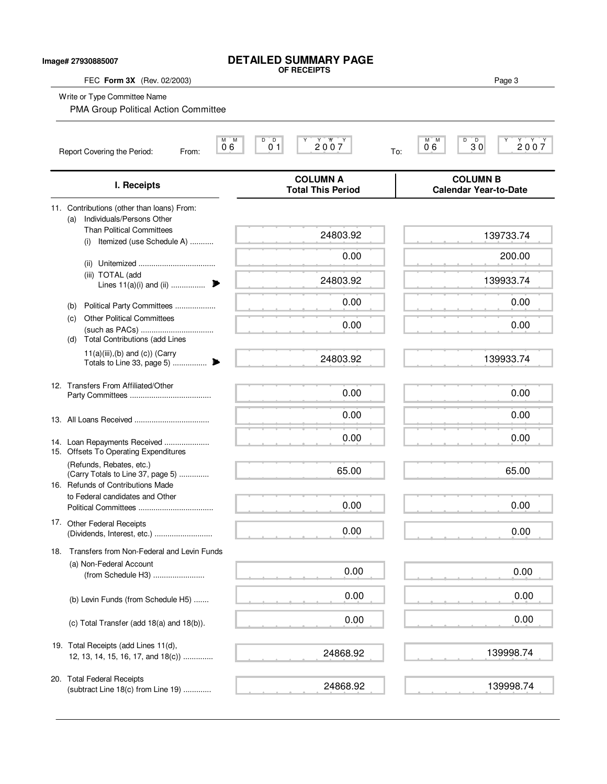| FEC Form 3X (Rev. 02/2003)                                                                               | <b>OF RECEIPTS</b>                            | Page 3                                          |
|----------------------------------------------------------------------------------------------------------|-----------------------------------------------|-------------------------------------------------|
| Write or Type Committee Name<br>PMA Group Political Action Committee                                     |                                               |                                                 |
| $M$ $M$<br>06<br>Report Covering the Period:<br>From:                                                    | D<br>$\overline{D}$<br>2007<br>0 <sub>1</sub> | M M<br>D<br>$3^{\circ}0$<br>2007<br>06<br>To:   |
| I. Receipts                                                                                              | <b>COLUMN A</b><br><b>Total This Period</b>   | <b>COLUMN B</b><br><b>Calendar Year-to-Date</b> |
| 11. Contributions (other than loans) From:                                                               |                                               |                                                 |
| Individuals/Persons Other<br>(a)<br><b>Than Political Committees</b><br>Itemized (use Schedule A)<br>(i) | 24803.92                                      | 139733.74                                       |
|                                                                                                          | 0.00                                          | 200.00                                          |
| (iii) TOTAL (add<br>Lines 11(a)(i) and (ii)                                                              | 24803.92                                      | 139933.74                                       |
| Political Party Committees<br>(b)                                                                        | 0.00                                          | 0.00                                            |
| <b>Other Political Committees</b><br>(c)<br><b>Total Contributions (add Lines</b><br>(d)                 | 0.00                                          | 0.00                                            |
| $11(a)(iii),(b)$ and $(c)$ ) (Carry                                                                      | 24803.92                                      | 139933.74                                       |
| 12. Transfers From Affiliated/Other                                                                      | 0.00                                          | 0.00                                            |
|                                                                                                          | 0.00                                          | 0.00                                            |
| 14. Loan Repayments Received<br>15. Offsets To Operating Expenditures                                    | 0.00                                          | 0.00                                            |
| (Refunds, Rebates, etc.)<br>(Carry Totals to Line 37, page 5)<br>16. Refunds of Contributions Made       | 65.00                                         | 65.00                                           |
| to Federal candidates and Other                                                                          | 0.00                                          | 0.00                                            |
| 17. Other Federal Receipts<br>(Dividends, Interest, etc.)                                                | 0.00                                          | 0.00                                            |
| 18. Transfers from Non-Federal and Levin Funds                                                           |                                               |                                                 |
| (a) Non-Federal Account<br>(from Schedule H3)                                                            | 0.00                                          | 0.00                                            |
| (b) Levin Funds (from Schedule H5)                                                                       | 0.00                                          | 0.00                                            |
| (c) Total Transfer (add 18(a) and 18(b)).                                                                | 0.00                                          | 0.00                                            |
| 19. Total Receipts (add Lines 11(d),<br>12, 13, 14, 15, 16, 17, and 18(c))                               | 24868.92                                      | 139998.74                                       |
| 20. Total Federal Receipts<br>(subtract Line 18(c) from Line 19)                                         | 24868.92                                      | 139998.74                                       |

**DETAILED SUMMARY PAGE**

**Image# 27930885007**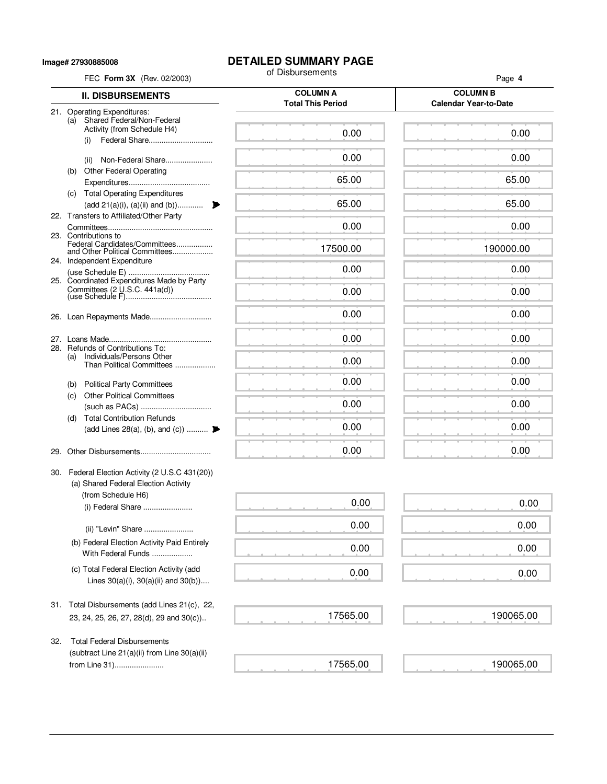**Image# 27930885008**

# **DETAILED SUMMARY PAGE**<br>of Disbursements

|     | FEC Form 3X (Rev. 02/2003)                                                              | of Disbursements                            | Page 4                                          |
|-----|-----------------------------------------------------------------------------------------|---------------------------------------------|-------------------------------------------------|
|     | <b>II. DISBURSEMENTS</b>                                                                | <b>COLUMN A</b><br><b>Total This Period</b> | <b>COLUMN B</b><br><b>Calendar Year-to-Date</b> |
|     | 21. Operating Expenditures:                                                             |                                             |                                                 |
|     | (a) Shared Federal/Non-Federal<br>Activity (from Schedule H4)                           | 0.00                                        | 0.00                                            |
|     | Federal Share<br>(i)                                                                    |                                             |                                                 |
|     | Non-Federal Share<br>(ii)                                                               | 0.00                                        | 0.00                                            |
|     | <b>Other Federal Operating</b><br>(b)                                                   |                                             |                                                 |
|     |                                                                                         | 65.00                                       | 65.00                                           |
|     | (c) Total Operating Expenditures                                                        |                                             |                                                 |
|     | (add 21(a)(i), (a)(ii) and (b))<br>22. Transfers to Affiliated/Other Party              | 65.00                                       | 65.00                                           |
|     |                                                                                         | 0.00                                        | 0.00                                            |
|     | 23. Contributions to<br>Federal Candidates/Committees                                   |                                             |                                                 |
|     | and Other Political Committees                                                          | 17500.00                                    | 190000.00                                       |
|     | 24. Independent Expenditure                                                             | 0.00                                        | 0.00                                            |
|     | 25. Coordinated Expenditures Made by Party                                              |                                             |                                                 |
|     | Committees (2 U.S.C. 441a(d))                                                           | 0.00                                        | 0.00                                            |
|     |                                                                                         | 0.00                                        | 0.00                                            |
|     |                                                                                         |                                             |                                                 |
|     |                                                                                         | 0.00                                        | 0.00                                            |
|     | 28. Refunds of Contributions To:<br>Individuals/Persons Other                           |                                             |                                                 |
|     | (a)<br>Than Political Committees                                                        | 0.00                                        | 0.00                                            |
|     | (b) Political Party Committees                                                          | 0.00                                        | 0.00                                            |
|     | <b>Other Political Committees</b><br>(c)                                                |                                             |                                                 |
|     |                                                                                         | 0.00                                        | 0.00                                            |
|     | <b>Total Contribution Refunds</b><br>(d)                                                |                                             |                                                 |
|     | (add Lines 28(a), (b), and (c))                                                         | 0.00                                        | 0.00                                            |
| 29. |                                                                                         | 0.00                                        | 0.00                                            |
|     |                                                                                         |                                             |                                                 |
|     | 30. Federal Election Activity (2 U.S.C 431(20))<br>(a) Shared Federal Election Activity |                                             |                                                 |
|     | (from Schedule H6)                                                                      |                                             |                                                 |
|     | (i) Federal Share                                                                       | 0.00                                        | 0.00                                            |
|     | (ii) "Levin" Share                                                                      | 0.00                                        | 0.00                                            |
|     | (b) Federal Election Activity Paid Entirely                                             |                                             |                                                 |
|     | With Federal Funds                                                                      | 0.00                                        | 0.00                                            |
|     | (c) Total Federal Election Activity (add                                                | 0.00                                        | 0.00                                            |
|     | Lines $30(a)(i)$ , $30(a)(ii)$ and $30(b)$ )                                            |                                             |                                                 |
|     |                                                                                         |                                             |                                                 |
|     | 31. Total Disbursements (add Lines 21(c), 22,                                           |                                             |                                                 |
|     | 23, 24, 25, 26, 27, 28(d), 29 and 30(c))                                                | 17565.00                                    | 190065.00                                       |
| 32. | <b>Total Federal Disbursements</b>                                                      |                                             |                                                 |
|     | (subtract Line 21(a)(ii) from Line 30(a)(ii)                                            |                                             |                                                 |
|     | from Line 31)                                                                           | 17565.00                                    | 190065.00                                       |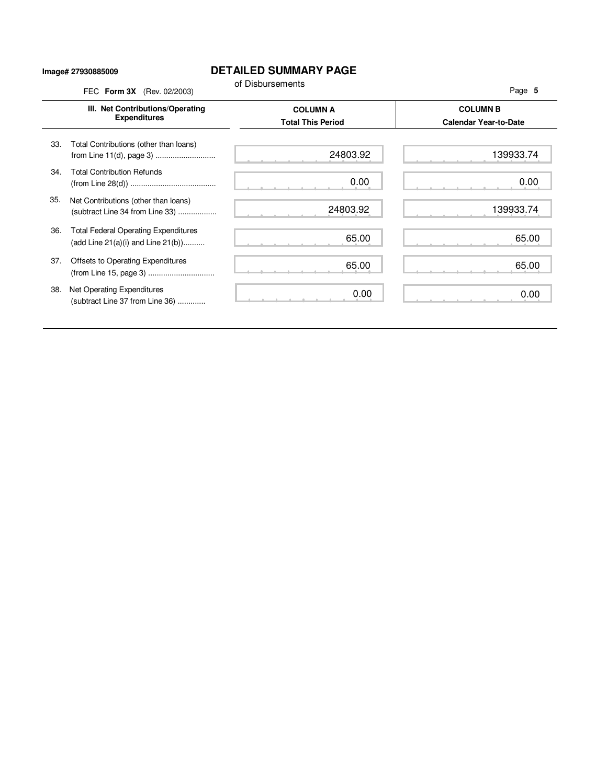#### **Image# 27930885009**

### **DETAILED SUMMARY PAGE**

|     | FEC Form 3X (Rev. 02/2003)                                                             | of Disbursements                            | Page 5                                          |
|-----|----------------------------------------------------------------------------------------|---------------------------------------------|-------------------------------------------------|
|     | III. Net Contributions/Operating<br><b>Expenditures</b>                                | <b>COLUMN A</b><br><b>Total This Period</b> | <b>COLUMN B</b><br><b>Calendar Year-to-Date</b> |
| 33. | Total Contributions (other than loans)<br>from Line 11(d), page 3)                     | 24803.92                                    | 139933.74                                       |
| 34. | <b>Total Contribution Refunds</b>                                                      | 0.00                                        | 0.00                                            |
| 35. | Net Contributions (other than loans)<br>(subtract Line 34 from Line 33)                | 24803.92                                    | 139933.74                                       |
| 36. | <b>Total Federal Operating Expenditures</b><br>(add Line $21(a)(i)$ and Line $21(b)$ ) | 65.00                                       | 65.00                                           |
| 37. | Offsets to Operating Expenditures<br>(from Line 15, page 3)                            | 65.00                                       | 65.00                                           |
| 38. | Net Operating Expenditures<br>(subtract Line 37 from Line 36)                          | 0.00                                        | 0.00                                            |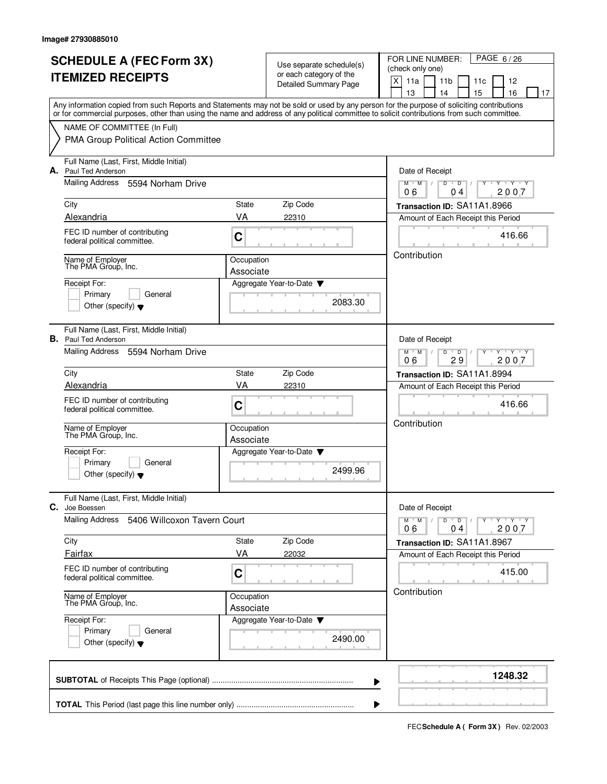| <b>SCHEDULE A (FEC Form 3X)</b> |                                                                                                                                            |                                                                                              | Use separate schedule(s)<br>or each category of the | PAGE 6/26<br>FOR LINE NUMBER:<br>(check only one) |  |  |  |
|---------------------------------|--------------------------------------------------------------------------------------------------------------------------------------------|----------------------------------------------------------------------------------------------|-----------------------------------------------------|---------------------------------------------------|--|--|--|
|                                 | <b>ITEMIZED RECEIPTS</b>                                                                                                                   |                                                                                              | <b>Detailed Summary Page</b>                        | X<br>11a<br>11 <sub>b</sub><br>11c<br>12          |  |  |  |
|                                 | Any information copied from such Reports and Statements may not be sold or used by any person for the purpose of soliciting contributions  |                                                                                              |                                                     | 15<br>13<br>14<br>16<br>17                        |  |  |  |
|                                 | or for commercial purposes, other than using the name and address of any political committee to solicit contributions from such committee. |                                                                                              |                                                     |                                                   |  |  |  |
|                                 | NAME OF COMMITTEE (In Full)                                                                                                                |                                                                                              |                                                     |                                                   |  |  |  |
|                                 | PMA Group Political Action Committee                                                                                                       |                                                                                              |                                                     |                                                   |  |  |  |
|                                 | Full Name (Last, First, Middle Initial)<br>A. Paul Ted Anderson                                                                            |                                                                                              |                                                     | Date of Receipt                                   |  |  |  |
|                                 | Mailing Address<br>5594 Norham Drive                                                                                                       | $M$ $M$ /<br>$Y - Y - Y$<br>$\overline{D}$<br>$\overline{D}$<br>2007<br>06<br>0 <sub>4</sub> |                                                     |                                                   |  |  |  |
|                                 | City                                                                                                                                       | State                                                                                        | Zip Code                                            | Transaction ID: SA11A1.8966                       |  |  |  |
|                                 | Alexandria                                                                                                                                 | VA                                                                                           | 22310                                               | Amount of Each Receipt this Period                |  |  |  |
|                                 | FEC ID number of contributing<br>federal political committee.                                                                              | C                                                                                            |                                                     | 416.66                                            |  |  |  |
|                                 | Name of Employer<br>The PMA Group, Inc.                                                                                                    | Occupation                                                                                   |                                                     | Contribution                                      |  |  |  |
|                                 | Receipt For:                                                                                                                               | Associate                                                                                    | Aggregate Year-to-Date                              |                                                   |  |  |  |
|                                 | Primary<br>General                                                                                                                         |                                                                                              |                                                     |                                                   |  |  |  |
|                                 | Other (specify) $\blacktriangledown$                                                                                                       |                                                                                              | 2083.30                                             |                                                   |  |  |  |
|                                 | Full Name (Last, First, Middle Initial)<br><b>B.</b> Paul Ted Anderson                                                                     |                                                                                              |                                                     | Date of Receipt                                   |  |  |  |
|                                 | Mailing Address 5594 Norham Drive                                                                                                          | $Y - Y - Y$<br>$M$ $M$ /<br>D<br>D<br>29<br>2007<br>06                                       |                                                     |                                                   |  |  |  |
|                                 | City                                                                                                                                       | State                                                                                        | Zip Code                                            | Transaction ID: SA11A1.8994                       |  |  |  |
|                                 | Alexandria                                                                                                                                 | VA                                                                                           | 22310                                               | Amount of Each Receipt this Period                |  |  |  |
|                                 | FEC ID number of contributing<br>federal political committee.                                                                              | C                                                                                            |                                                     | 416.66                                            |  |  |  |
|                                 | Name of Employer<br>The PMA Group, Inc.                                                                                                    | Occupation<br>Associate                                                                      |                                                     | Contribution                                      |  |  |  |
|                                 | Receipt For:                                                                                                                               |                                                                                              | Aggregate Year-to-Date                              |                                                   |  |  |  |
|                                 | Primary<br>General<br>Other (specify) $\blacktriangledown$                                                                                 |                                                                                              | 2499.96                                             |                                                   |  |  |  |
| С.                              | Full Name (Last, First, Middle Initial)<br>Joe Boessen                                                                                     |                                                                                              |                                                     | Date of Receipt                                   |  |  |  |
|                                 | <b>Mailing Address</b><br>5406 Willcoxon Tavern Court                                                                                      | $Y$ $Y$ $Y$ $Y$<br>$M^+$ M<br>$\sqrt{2}$<br>$D$ $D$<br>2007<br>04<br>06                      |                                                     |                                                   |  |  |  |
|                                 | City                                                                                                                                       | State                                                                                        | Zip Code                                            | Transaction ID: SA11A1.8967                       |  |  |  |
|                                 | Fairfax                                                                                                                                    | VA                                                                                           | 22032                                               | Amount of Each Receipt this Period                |  |  |  |
|                                 | FEC ID number of contributing<br>federal political committee.                                                                              | C                                                                                            |                                                     | 415.00                                            |  |  |  |
|                                 | Name of Employer<br>The PMA Group, Inc.                                                                                                    | Contribution                                                                                 |                                                     |                                                   |  |  |  |
|                                 | Receipt For:                                                                                                                               |                                                                                              | Aggregate Year-to-Date ▼                            |                                                   |  |  |  |
|                                 | Primary<br>General<br>Other (specify) $\blacktriangledown$                                                                                 |                                                                                              | 2490.00                                             |                                                   |  |  |  |
|                                 |                                                                                                                                            |                                                                                              | ▶                                                   | 1248.32                                           |  |  |  |
|                                 |                                                                                                                                            |                                                                                              |                                                     |                                                   |  |  |  |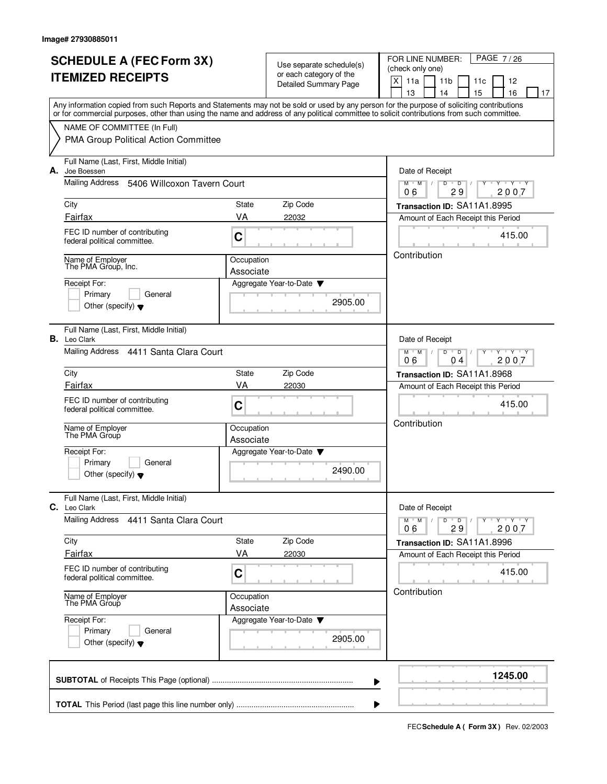|    | <b>SCHEDULE A (FEC Form 3X)</b>                                                                                                                                                                                                                                                         |                         | Use separate schedule(s)                                | PAGE 7/26<br>FOR LINE NUMBER:<br>(check only one)                                      |  |
|----|-----------------------------------------------------------------------------------------------------------------------------------------------------------------------------------------------------------------------------------------------------------------------------------------|-------------------------|---------------------------------------------------------|----------------------------------------------------------------------------------------|--|
|    | <b>ITEMIZED RECEIPTS</b>                                                                                                                                                                                                                                                                |                         | or each category of the<br><b>Detailed Summary Page</b> | X<br>11a<br>11 <sub>b</sub><br>12<br>11c                                               |  |
|    |                                                                                                                                                                                                                                                                                         |                         |                                                         | 15<br>13<br>14<br>16<br>17                                                             |  |
|    | Any information copied from such Reports and Statements may not be sold or used by any person for the purpose of soliciting contributions<br>or for commercial purposes, other than using the name and address of any political committee to solicit contributions from such committee. |                         |                                                         |                                                                                        |  |
|    | NAME OF COMMITTEE (In Full)                                                                                                                                                                                                                                                             |                         |                                                         |                                                                                        |  |
|    | PMA Group Political Action Committee                                                                                                                                                                                                                                                    |                         |                                                         |                                                                                        |  |
| А. | Full Name (Last, First, Middle Initial)<br>Joe Boessen                                                                                                                                                                                                                                  |                         |                                                         | Date of Receipt                                                                        |  |
|    | Mailing Address 5406 Willcoxon Tavern Court                                                                                                                                                                                                                                             |                         |                                                         | $\mathsf D$<br>$Y + Y + Y$<br>$M$ <sup>-1</sup><br>$M$ /<br>D<br>v<br>29<br>2007<br>06 |  |
|    | City                                                                                                                                                                                                                                                                                    | State                   | Zip Code                                                | Transaction ID: SA11A1.8995                                                            |  |
|    | Fairfax                                                                                                                                                                                                                                                                                 | VA                      | 22032                                                   | Amount of Each Receipt this Period                                                     |  |
|    | FEC ID number of contributing<br>federal political committee.                                                                                                                                                                                                                           | C                       |                                                         | 415.00                                                                                 |  |
|    | Name of Employer<br>The PMA Group, Inc.                                                                                                                                                                                                                                                 | Occupation<br>Associate |                                                         | Contribution                                                                           |  |
|    | Receipt For:                                                                                                                                                                                                                                                                            |                         | Aggregate Year-to-Date                                  |                                                                                        |  |
|    | Primary<br>General                                                                                                                                                                                                                                                                      |                         | 2905.00                                                 |                                                                                        |  |
|    | Other (specify) $\blacktriangledown$                                                                                                                                                                                                                                                    |                         |                                                         |                                                                                        |  |
|    | Full Name (Last, First, Middle Initial)<br><b>B.</b> Leo Clark                                                                                                                                                                                                                          |                         |                                                         | Date of Receipt                                                                        |  |
|    | Mailing Address 4411 Santa Clara Court                                                                                                                                                                                                                                                  |                         |                                                         |                                                                                        |  |
|    | City                                                                                                                                                                                                                                                                                    | State                   | Zip Code                                                | Transaction ID: SA11A1.8968                                                            |  |
|    | Fairfax                                                                                                                                                                                                                                                                                 | VA                      | 22030                                                   | Amount of Each Receipt this Period                                                     |  |
|    | FEC ID number of contributing<br>federal political committee.                                                                                                                                                                                                                           | C                       |                                                         | 415.00                                                                                 |  |
|    | Name of Employer<br>The PMA Group                                                                                                                                                                                                                                                       | Occupation              |                                                         | Contribution                                                                           |  |
|    |                                                                                                                                                                                                                                                                                         | Associate               |                                                         |                                                                                        |  |
|    | Receipt For:<br>Primary<br>General                                                                                                                                                                                                                                                      |                         | Aggregate Year-to-Date                                  |                                                                                        |  |
|    | Other (specify) $\blacktriangledown$                                                                                                                                                                                                                                                    |                         | 2490.00                                                 |                                                                                        |  |
| C. | Full Name (Last, First, Middle Initial)<br>Leo Clark                                                                                                                                                                                                                                    |                         |                                                         | Date of Receipt                                                                        |  |
|    | Mailing Address 4411 Santa Clara Court                                                                                                                                                                                                                                                  |                         |                                                         | $M$ $M$ $M$<br>$D$ $D$ $I$<br>Y Y Y Y Y Y<br>29<br>2007<br>06                          |  |
|    | City                                                                                                                                                                                                                                                                                    | State                   | Zip Code                                                | Transaction ID: SA11A1.8996                                                            |  |
|    | Fairfax                                                                                                                                                                                                                                                                                 | VA                      | 22030                                                   | Amount of Each Receipt this Period                                                     |  |
|    | FEC ID number of contributing<br>federal political committee.                                                                                                                                                                                                                           | $\mathbf C$             |                                                         | 415.00                                                                                 |  |
|    | Name of Employer<br>The PMA Group                                                                                                                                                                                                                                                       |                         | Occupation<br>Associate                                 | Contribution                                                                           |  |
|    | Receipt For:                                                                                                                                                                                                                                                                            |                         | Aggregate Year-to-Date                                  |                                                                                        |  |
|    | Primary<br>General<br>Other (specify) $\blacktriangledown$                                                                                                                                                                                                                              |                         | 2905.00                                                 |                                                                                        |  |
|    |                                                                                                                                                                                                                                                                                         |                         |                                                         |                                                                                        |  |
|    |                                                                                                                                                                                                                                                                                         |                         |                                                         | 1245.00<br>▶                                                                           |  |
|    |                                                                                                                                                                                                                                                                                         |                         |                                                         | ▶                                                                                      |  |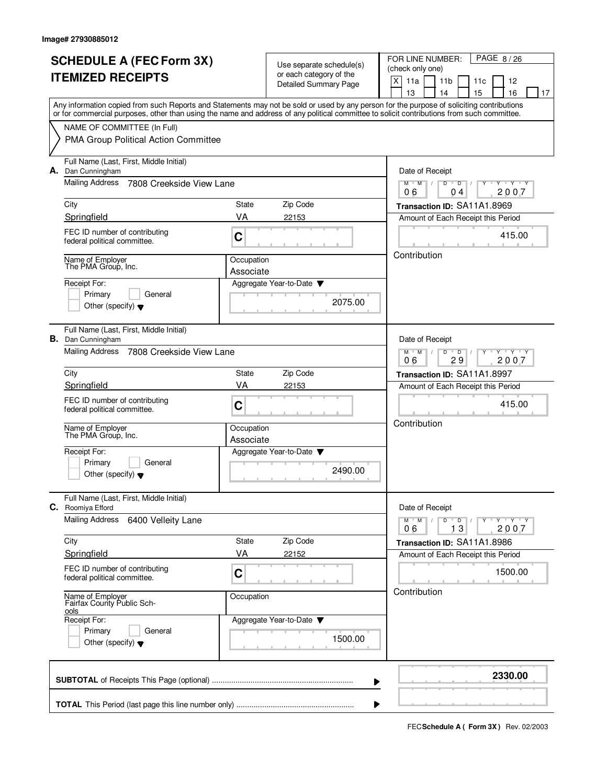| <b>SCHEDULE A (FEC Form 3X)</b>                                                                                                                                                                                                                                                         |                                                                               |                                                     | PAGE 8/26<br>FOR LINE NUMBER:                                           |  |
|-----------------------------------------------------------------------------------------------------------------------------------------------------------------------------------------------------------------------------------------------------------------------------------------|-------------------------------------------------------------------------------|-----------------------------------------------------|-------------------------------------------------------------------------|--|
|                                                                                                                                                                                                                                                                                         |                                                                               | Use separate schedule(s)<br>or each category of the | (check only one)                                                        |  |
| <b>ITEMIZED RECEIPTS</b>                                                                                                                                                                                                                                                                |                                                                               | <b>Detailed Summary Page</b>                        | X<br>11a<br>11 <sub>b</sub><br>12<br>11c                                |  |
|                                                                                                                                                                                                                                                                                         |                                                                               |                                                     | 13<br>15<br>16<br>14<br>17                                              |  |
| Any information copied from such Reports and Statements may not be sold or used by any person for the purpose of soliciting contributions<br>or for commercial purposes, other than using the name and address of any political committee to solicit contributions from such committee. |                                                                               |                                                     |                                                                         |  |
| NAME OF COMMITTEE (In Full)                                                                                                                                                                                                                                                             |                                                                               |                                                     |                                                                         |  |
| PMA Group Political Action Committee                                                                                                                                                                                                                                                    |                                                                               |                                                     |                                                                         |  |
| Full Name (Last, First, Middle Initial)<br>A. Dan Cunningham                                                                                                                                                                                                                            |                                                                               |                                                     | Date of Receipt                                                         |  |
| Mailing Address<br>7808 Creekside View Lane                                                                                                                                                                                                                                             | $M$ $M$ /<br>$Y - Y - Y$<br>D<br>$\overline{D}$<br>2007<br>06<br>04           |                                                     |                                                                         |  |
| City                                                                                                                                                                                                                                                                                    | State                                                                         | Zip Code                                            | Transaction ID: SA11A1.8969                                             |  |
| Springfield                                                                                                                                                                                                                                                                             | VA                                                                            | 22153                                               | Amount of Each Receipt this Period                                      |  |
| FEC ID number of contributing<br>federal political committee.                                                                                                                                                                                                                           | C                                                                             |                                                     | 415.00                                                                  |  |
| Name of Employer<br>The PMA Group, Inc.                                                                                                                                                                                                                                                 | Occupation                                                                    |                                                     | Contribution                                                            |  |
| Receipt For:                                                                                                                                                                                                                                                                            | Associate                                                                     | Aggregate Year-to-Date                              |                                                                         |  |
| Primary<br>General                                                                                                                                                                                                                                                                      |                                                                               |                                                     |                                                                         |  |
| Other (specify) $\blacktriangledown$                                                                                                                                                                                                                                                    |                                                                               | 2075.00                                             |                                                                         |  |
| Full Name (Last, First, Middle Initial)                                                                                                                                                                                                                                                 |                                                                               |                                                     |                                                                         |  |
| <b>B.</b> Dan Cunningham                                                                                                                                                                                                                                                                |                                                                               |                                                     | Date of Receipt                                                         |  |
| <b>Mailing Address</b><br>7808 Creekside View Lane                                                                                                                                                                                                                                      | $Y \vdash Y \vdash Y$<br>$M$ $M$ /<br>D<br>$\overline{D}$<br>06<br>29<br>2007 |                                                     |                                                                         |  |
| City                                                                                                                                                                                                                                                                                    | State                                                                         | Zip Code                                            | Transaction ID: SA11A1.8997                                             |  |
| Springfield                                                                                                                                                                                                                                                                             | VA                                                                            | 22153                                               | Amount of Each Receipt this Period                                      |  |
| FEC ID number of contributing                                                                                                                                                                                                                                                           | C                                                                             |                                                     | 415.00                                                                  |  |
| federal political committee.                                                                                                                                                                                                                                                            |                                                                               |                                                     |                                                                         |  |
| Name of Employer<br>The PMA Group, Inc.                                                                                                                                                                                                                                                 | Occupation                                                                    |                                                     | Contribution                                                            |  |
|                                                                                                                                                                                                                                                                                         | Associate                                                                     |                                                     |                                                                         |  |
| Receipt For:<br>Primary<br>General                                                                                                                                                                                                                                                      |                                                                               | Aggregate Year-to-Date ▼                            |                                                                         |  |
| Other (specify) $\blacktriangledown$                                                                                                                                                                                                                                                    |                                                                               | 2490.00                                             |                                                                         |  |
| Full Name (Last, First, Middle Initial)<br>C. Roomiya Efford                                                                                                                                                                                                                            |                                                                               |                                                     | Date of Receipt                                                         |  |
| <b>Mailing Address</b><br>6400 Velleity Lane                                                                                                                                                                                                                                            |                                                                               |                                                     | $Y \dashv Y \dashv Y$<br>$M$ $M$ $M$<br>$D$ $D$ $/$<br>$Y$ <sup>U</sup> |  |
|                                                                                                                                                                                                                                                                                         |                                                                               |                                                     | 2007<br>13<br>06                                                        |  |
| City                                                                                                                                                                                                                                                                                    | State                                                                         | Zip Code                                            | Transaction ID: SA11A1.8986                                             |  |
| Springfield                                                                                                                                                                                                                                                                             | VA                                                                            | 22152                                               | Amount of Each Receipt this Period                                      |  |
| FEC ID number of contributing<br>federal political committee.                                                                                                                                                                                                                           | C                                                                             |                                                     | 1500.00                                                                 |  |
| Name of Employer<br>Fairfax County Public Sch-<br>ools                                                                                                                                                                                                                                  | Occupation                                                                    |                                                     | Contribution                                                            |  |
| Receipt For:                                                                                                                                                                                                                                                                            |                                                                               | Aggregate Year-to-Date ▼                            |                                                                         |  |
| Primary<br>General                                                                                                                                                                                                                                                                      |                                                                               | 1500.00                                             |                                                                         |  |
| Other (specify) $\blacktriangledown$                                                                                                                                                                                                                                                    |                                                                               |                                                     |                                                                         |  |
|                                                                                                                                                                                                                                                                                         |                                                                               | ▶                                                   | 2330.00                                                                 |  |
|                                                                                                                                                                                                                                                                                         |                                                                               |                                                     |                                                                         |  |
|                                                                                                                                                                                                                                                                                         |                                                                               | ▶                                                   |                                                                         |  |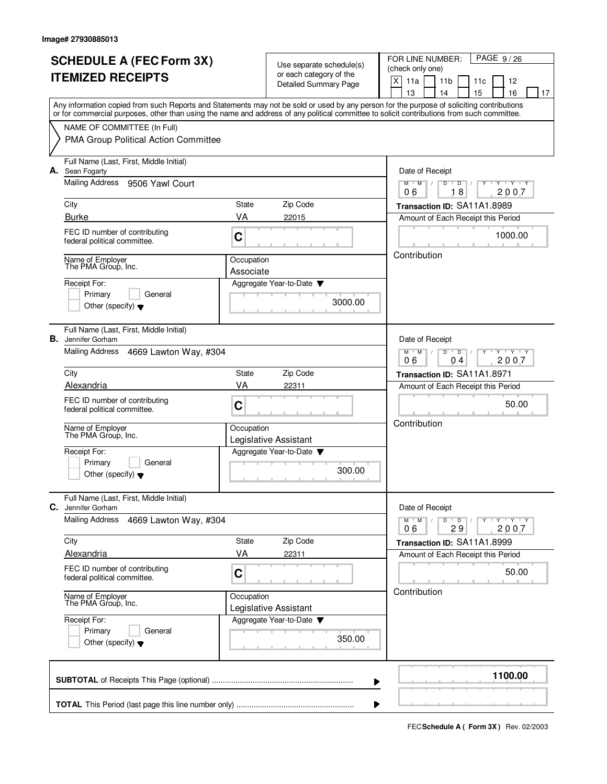| <b>SCHEDULE A (FEC Form 3X)</b><br><b>ITEMIZED RECEIPTS</b><br>Any information copied from such Reports and Statements may not be sold or used by any person for the purpose of soliciting contributions |                                                                                                                                            |                                                                                     | Use separate schedule(s)                                | PAGE 9/26<br>FOR LINE NUMBER:<br>(check only one)                                          |  |  |  |
|----------------------------------------------------------------------------------------------------------------------------------------------------------------------------------------------------------|--------------------------------------------------------------------------------------------------------------------------------------------|-------------------------------------------------------------------------------------|---------------------------------------------------------|--------------------------------------------------------------------------------------------|--|--|--|
|                                                                                                                                                                                                          |                                                                                                                                            |                                                                                     | or each category of the<br><b>Detailed Summary Page</b> | $\mathsf X$<br>11a<br>12<br>11b<br>11c                                                     |  |  |  |
|                                                                                                                                                                                                          |                                                                                                                                            |                                                                                     |                                                         | 13<br>14<br>15<br>16<br>17                                                                 |  |  |  |
|                                                                                                                                                                                                          | or for commercial purposes, other than using the name and address of any political committee to solicit contributions from such committee. |                                                                                     |                                                         |                                                                                            |  |  |  |
|                                                                                                                                                                                                          | NAME OF COMMITTEE (In Full)                                                                                                                |                                                                                     |                                                         |                                                                                            |  |  |  |
|                                                                                                                                                                                                          | PMA Group Political Action Committee                                                                                                       |                                                                                     |                                                         |                                                                                            |  |  |  |
|                                                                                                                                                                                                          | Full Name (Last, First, Middle Initial)<br>A. Sean Fogarty                                                                                 |                                                                                     |                                                         | Date of Receipt                                                                            |  |  |  |
|                                                                                                                                                                                                          | Mailing Address<br>9506 Yawl Court                                                                                                         | $Y - Y - Y$<br>$M$ $M$ /<br>D<br>$\overline{D}$<br>18<br>2007<br>06                 |                                                         |                                                                                            |  |  |  |
|                                                                                                                                                                                                          | City                                                                                                                                       | State                                                                               | Zip Code                                                | Transaction ID: SA11A1.8989                                                                |  |  |  |
|                                                                                                                                                                                                          | <b>Burke</b>                                                                                                                               | VA                                                                                  | 22015                                                   | Amount of Each Receipt this Period                                                         |  |  |  |
|                                                                                                                                                                                                          | FEC ID number of contributing<br>federal political committee.                                                                              | C                                                                                   |                                                         | 1000.00                                                                                    |  |  |  |
|                                                                                                                                                                                                          | Name of Employer<br>The PMA Group, Inc.                                                                                                    | Occupation                                                                          |                                                         | Contribution                                                                               |  |  |  |
|                                                                                                                                                                                                          | Receipt For:                                                                                                                               | Associate                                                                           | Aggregate Year-to-Date                                  |                                                                                            |  |  |  |
|                                                                                                                                                                                                          | General<br>Primary                                                                                                                         |                                                                                     |                                                         |                                                                                            |  |  |  |
|                                                                                                                                                                                                          | Other (specify) $\blacktriangledown$                                                                                                       |                                                                                     | 3000.00                                                 |                                                                                            |  |  |  |
| В.                                                                                                                                                                                                       | Full Name (Last, First, Middle Initial)<br>Jennifer Gorham                                                                                 |                                                                                     |                                                         | Date of Receipt                                                                            |  |  |  |
|                                                                                                                                                                                                          | Mailing Address<br>4669 Lawton Way, #304                                                                                                   | $\overline{Y}$ $\overline{Y}$ $\overline{Y}$<br>$M$ M<br>D<br>D<br>2007<br>06<br>04 |                                                         |                                                                                            |  |  |  |
|                                                                                                                                                                                                          | City                                                                                                                                       | State                                                                               | Zip Code                                                | Transaction ID: SA11A1.8971                                                                |  |  |  |
|                                                                                                                                                                                                          | Alexandria                                                                                                                                 | VA                                                                                  | 22311                                                   | Amount of Each Receipt this Period                                                         |  |  |  |
|                                                                                                                                                                                                          | FEC ID number of contributing<br>federal political committee.                                                                              | C                                                                                   |                                                         | 50.00                                                                                      |  |  |  |
|                                                                                                                                                                                                          | Name of Employer<br>The PMA Group, Inc.                                                                                                    | Occupation                                                                          |                                                         | Contribution                                                                               |  |  |  |
|                                                                                                                                                                                                          | Receipt For:                                                                                                                               |                                                                                     | Legislative Assistant<br>Aggregate Year-to-Date         |                                                                                            |  |  |  |
|                                                                                                                                                                                                          | Primary<br>General<br>Other (specify) $\blacktriangledown$                                                                                 |                                                                                     |                                                         |                                                                                            |  |  |  |
| C.                                                                                                                                                                                                       | Full Name (Last, First, Middle Initial)<br>Jennifer Gorham                                                                                 |                                                                                     |                                                         | Date of Receipt                                                                            |  |  |  |
|                                                                                                                                                                                                          | <b>Mailing Address</b><br>4669 Lawton Way, #304                                                                                            |                                                                                     |                                                         | Y ' Y ' Y<br>$M$ <sup><math>+</math></sup><br>M<br>D<br>$\overline{D}$<br>2007<br>29<br>06 |  |  |  |
|                                                                                                                                                                                                          | City                                                                                                                                       | State                                                                               | Zip Code                                                | Transaction ID: SA11A1.8999                                                                |  |  |  |
|                                                                                                                                                                                                          | Alexandria                                                                                                                                 | VA                                                                                  | 22311                                                   | Amount of Each Receipt this Period                                                         |  |  |  |
|                                                                                                                                                                                                          | FEC ID number of contributing<br>federal political committee.                                                                              | C                                                                                   |                                                         | 50.00                                                                                      |  |  |  |
|                                                                                                                                                                                                          | Name of Employer<br>The PMA Group, Inc.                                                                                                    | Contribution                                                                        |                                                         |                                                                                            |  |  |  |
|                                                                                                                                                                                                          | Receipt For:                                                                                                                               |                                                                                     |                                                         |                                                                                            |  |  |  |
|                                                                                                                                                                                                          | Primary<br>General<br>Other (specify) $\blacktriangledown$                                                                                 |                                                                                     |                                                         |                                                                                            |  |  |  |
|                                                                                                                                                                                                          |                                                                                                                                            |                                                                                     | ▶                                                       | 1100.00                                                                                    |  |  |  |
|                                                                                                                                                                                                          |                                                                                                                                            |                                                                                     |                                                         |                                                                                            |  |  |  |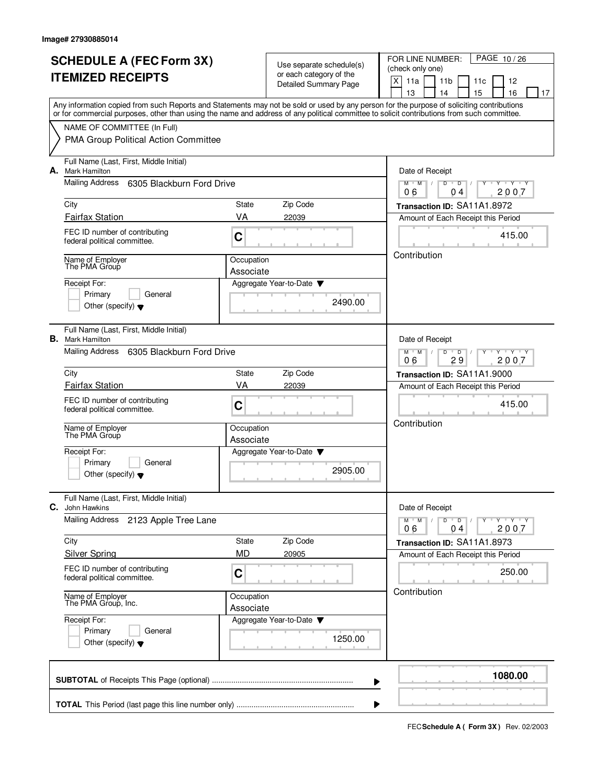|                          | <b>SCHEDULE A (FEC Form 3X)</b>                                                                                                                                                                                                                                                         |                                                                                |                                                     | PAGE 10/26<br>FOR LINE NUMBER:                                      |  |
|--------------------------|-----------------------------------------------------------------------------------------------------------------------------------------------------------------------------------------------------------------------------------------------------------------------------------------|--------------------------------------------------------------------------------|-----------------------------------------------------|---------------------------------------------------------------------|--|
| <b>ITEMIZED RECEIPTS</b> |                                                                                                                                                                                                                                                                                         |                                                                                | Use separate schedule(s)<br>or each category of the | (check only one)                                                    |  |
|                          |                                                                                                                                                                                                                                                                                         |                                                                                | Detailed Summary Page                               | X<br>11a<br>11 <sub>b</sub><br>12<br>11c                            |  |
|                          |                                                                                                                                                                                                                                                                                         |                                                                                |                                                     | 13<br>15<br>16<br>14<br>17                                          |  |
|                          | Any information copied from such Reports and Statements may not be sold or used by any person for the purpose of soliciting contributions<br>or for commercial purposes, other than using the name and address of any political committee to solicit contributions from such committee. |                                                                                |                                                     |                                                                     |  |
|                          | NAME OF COMMITTEE (In Full)                                                                                                                                                                                                                                                             |                                                                                |                                                     |                                                                     |  |
|                          | PMA Group Political Action Committee                                                                                                                                                                                                                                                    |                                                                                |                                                     |                                                                     |  |
| А.                       | Full Name (Last, First, Middle Initial)<br><b>Mark Hamilton</b>                                                                                                                                                                                                                         |                                                                                |                                                     | Date of Receipt                                                     |  |
|                          | Mailing Address<br>6305 Blackburn Ford Drive                                                                                                                                                                                                                                            | $Y + Y + Y$<br>$M$ /<br>D<br>$\overline{D}$<br>M<br>2007<br>06<br>04           |                                                     |                                                                     |  |
|                          | City                                                                                                                                                                                                                                                                                    | State                                                                          | Zip Code                                            | Transaction ID: SA11A1.8972                                         |  |
|                          | <b>Fairfax Station</b>                                                                                                                                                                                                                                                                  | VA                                                                             | 22039                                               | Amount of Each Receipt this Period                                  |  |
|                          | FEC ID number of contributing<br>federal political committee.                                                                                                                                                                                                                           | C                                                                              |                                                     | 415.00                                                              |  |
|                          | Name of Employer<br>The PMA Group                                                                                                                                                                                                                                                       | Occupation                                                                     |                                                     | Contribution                                                        |  |
|                          |                                                                                                                                                                                                                                                                                         | Associate                                                                      |                                                     |                                                                     |  |
|                          | Receipt For:<br>Primary<br>General                                                                                                                                                                                                                                                      |                                                                                | Aggregate Year-to-Date                              |                                                                     |  |
|                          | Other (specify) $\blacktriangledown$                                                                                                                                                                                                                                                    |                                                                                | 2490.00                                             |                                                                     |  |
|                          |                                                                                                                                                                                                                                                                                         |                                                                                |                                                     |                                                                     |  |
| В.                       | Full Name (Last, First, Middle Initial)<br><b>Mark Hamilton</b>                                                                                                                                                                                                                         |                                                                                |                                                     | Date of Receipt                                                     |  |
|                          | <b>Mailing Address</b><br>6305 Blackburn Ford Drive                                                                                                                                                                                                                                     | $M^+M^-$ /<br>D<br>$Y \vdash Y \vdash Y$<br>$\overline{D}$<br>29<br>06<br>2007 |                                                     |                                                                     |  |
|                          | City                                                                                                                                                                                                                                                                                    | State                                                                          | Zip Code                                            | Transaction ID: SA11A1.9000                                         |  |
|                          | <b>Fairfax Station</b>                                                                                                                                                                                                                                                                  | VA                                                                             | 22039                                               | Amount of Each Receipt this Period                                  |  |
|                          | FEC ID number of contributing                                                                                                                                                                                                                                                           | C                                                                              |                                                     | 415.00                                                              |  |
|                          | federal political committee.                                                                                                                                                                                                                                                            |                                                                                |                                                     |                                                                     |  |
|                          | Name of Employer<br>The PMA Group                                                                                                                                                                                                                                                       | Occupation                                                                     |                                                     | Contribution                                                        |  |
|                          |                                                                                                                                                                                                                                                                                         | Associate                                                                      |                                                     |                                                                     |  |
|                          | Receipt For:<br>Primary<br>General                                                                                                                                                                                                                                                      |                                                                                | Aggregate Year-to-Date                              |                                                                     |  |
|                          | Other (specify) $\blacktriangledown$                                                                                                                                                                                                                                                    |                                                                                | 2905.00                                             |                                                                     |  |
| C.                       | Full Name (Last, First, Middle Initial)<br>John Hawkins                                                                                                                                                                                                                                 |                                                                                |                                                     | Date of Receipt                                                     |  |
|                          | <b>Mailing Address</b><br>2123 Apple Tree Lane                                                                                                                                                                                                                                          |                                                                                |                                                     | $Y \dashv Y \dashv Y$<br>$M = M$<br>$D$ $D$ $/$<br>$Y$ <sup>U</sup> |  |
|                          |                                                                                                                                                                                                                                                                                         |                                                                                |                                                     | 2007<br>06<br>04                                                    |  |
|                          | City<br><b>Silver Spring</b>                                                                                                                                                                                                                                                            | State<br>MD                                                                    | Zip Code<br>20905                                   | Transaction ID: SA11A1.8973                                         |  |
|                          |                                                                                                                                                                                                                                                                                         |                                                                                |                                                     | Amount of Each Receipt this Period                                  |  |
|                          | FEC ID number of contributing<br>federal political committee.                                                                                                                                                                                                                           | C                                                                              |                                                     | 250.00                                                              |  |
|                          | Name of Employer<br>The PMA Group, Inc.                                                                                                                                                                                                                                                 |                                                                                | Occupation                                          | Contribution                                                        |  |
|                          | Receipt For:                                                                                                                                                                                                                                                                            | Associate                                                                      | Aggregate Year-to-Date                              |                                                                     |  |
|                          | Primary<br>General                                                                                                                                                                                                                                                                      |                                                                                | 1250.00                                             |                                                                     |  |
|                          | Other (specify) $\blacktriangledown$                                                                                                                                                                                                                                                    |                                                                                |                                                     |                                                                     |  |
|                          |                                                                                                                                                                                                                                                                                         |                                                                                | ▶                                                   | 1080.00                                                             |  |
|                          |                                                                                                                                                                                                                                                                                         |                                                                                |                                                     |                                                                     |  |
|                          |                                                                                                                                                                                                                                                                                         |                                                                                |                                                     |                                                                     |  |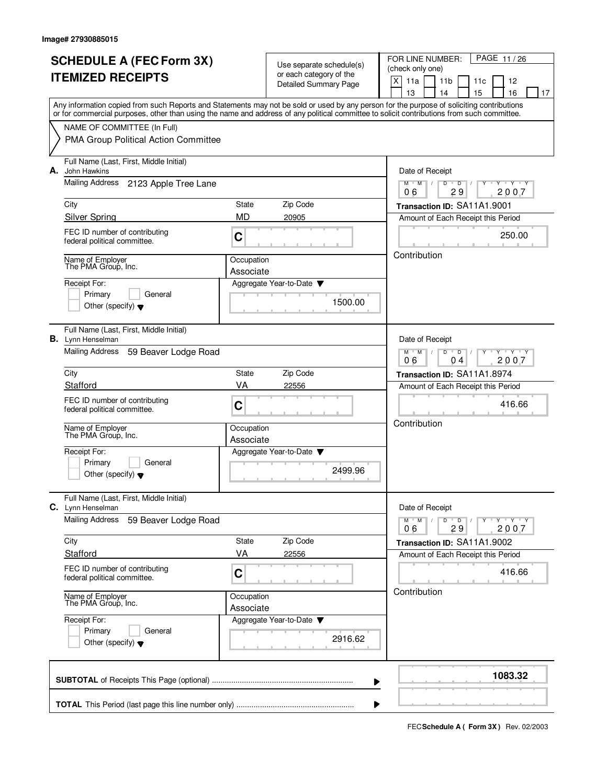|  | <b>SCHEDULE A (FEC Form 3X)</b>                                                                                                                                                                                                                                                         |                                                                               |                                                     | PAGE 11/26<br>FOR LINE NUMBER:                                                  |  |
|--|-----------------------------------------------------------------------------------------------------------------------------------------------------------------------------------------------------------------------------------------------------------------------------------------|-------------------------------------------------------------------------------|-----------------------------------------------------|---------------------------------------------------------------------------------|--|
|  |                                                                                                                                                                                                                                                                                         |                                                                               | Use separate schedule(s)<br>or each category of the | (check only one)                                                                |  |
|  | <b>ITEMIZED RECEIPTS</b>                                                                                                                                                                                                                                                                |                                                                               | Detailed Summary Page                               | X<br>11a<br>11 <sub>b</sub><br>12<br>11c                                        |  |
|  |                                                                                                                                                                                                                                                                                         |                                                                               |                                                     | 13<br>14<br>15<br>16<br>17                                                      |  |
|  | Any information copied from such Reports and Statements may not be sold or used by any person for the purpose of soliciting contributions<br>or for commercial purposes, other than using the name and address of any political committee to solicit contributions from such committee. |                                                                               |                                                     |                                                                                 |  |
|  | NAME OF COMMITTEE (In Full)                                                                                                                                                                                                                                                             |                                                                               |                                                     |                                                                                 |  |
|  | PMA Group Political Action Committee                                                                                                                                                                                                                                                    |                                                                               |                                                     |                                                                                 |  |
|  |                                                                                                                                                                                                                                                                                         |                                                                               |                                                     |                                                                                 |  |
|  | Full Name (Last, First, Middle Initial)<br>A. John Hawkins                                                                                                                                                                                                                              |                                                                               |                                                     | Date of Receipt                                                                 |  |
|  | Mailing Address<br>2123 Apple Tree Lane                                                                                                                                                                                                                                                 |                                                                               |                                                     | $+Y+Y$<br>$M$ /<br>D<br>$\overline{D}$<br>Y<br>M<br>29<br>2007<br>06            |  |
|  | City                                                                                                                                                                                                                                                                                    | State                                                                         | Zip Code                                            | Transaction ID: SA11A1.9001                                                     |  |
|  | <b>Silver Spring</b>                                                                                                                                                                                                                                                                    | <b>MD</b>                                                                     | 20905                                               | Amount of Each Receipt this Period                                              |  |
|  | FEC ID number of contributing                                                                                                                                                                                                                                                           |                                                                               |                                                     | 250.00                                                                          |  |
|  | federal political committee.                                                                                                                                                                                                                                                            | C                                                                             |                                                     |                                                                                 |  |
|  | Name of Employer                                                                                                                                                                                                                                                                        | Occupation                                                                    |                                                     | Contribution                                                                    |  |
|  | The PMA Group, Inc.                                                                                                                                                                                                                                                                     | Associate                                                                     |                                                     |                                                                                 |  |
|  | Receipt For:                                                                                                                                                                                                                                                                            |                                                                               | Aggregate Year-to-Date                              |                                                                                 |  |
|  | Primary<br>General                                                                                                                                                                                                                                                                      |                                                                               | 1500.00                                             |                                                                                 |  |
|  | Other (specify) $\blacktriangledown$                                                                                                                                                                                                                                                    |                                                                               |                                                     |                                                                                 |  |
|  | Full Name (Last, First, Middle Initial)                                                                                                                                                                                                                                                 |                                                                               |                                                     |                                                                                 |  |
|  | <b>B.</b> Lynn Henselman                                                                                                                                                                                                                                                                |                                                                               |                                                     | Date of Receipt                                                                 |  |
|  | <b>Mailing Address</b><br>59 Beaver Lodge Road                                                                                                                                                                                                                                          | D<br>$Y \vdash Y \vdash Y$<br>$M$ $M$ /<br>$\overline{D}$<br>2007<br>06<br>04 |                                                     |                                                                                 |  |
|  | City                                                                                                                                                                                                                                                                                    | State                                                                         | Zip Code                                            | Transaction ID: SA11A1.8974                                                     |  |
|  | Stafford                                                                                                                                                                                                                                                                                | VA                                                                            | 22556                                               | Amount of Each Receipt this Period                                              |  |
|  | FEC ID number of contributing                                                                                                                                                                                                                                                           |                                                                               |                                                     |                                                                                 |  |
|  | federal political committee.                                                                                                                                                                                                                                                            | C                                                                             |                                                     | 416.66                                                                          |  |
|  |                                                                                                                                                                                                                                                                                         | Occupation                                                                    |                                                     | Contribution                                                                    |  |
|  | Name of Employer<br>The PMA Group, Inc.                                                                                                                                                                                                                                                 | Associate                                                                     |                                                     |                                                                                 |  |
|  | Receipt For:                                                                                                                                                                                                                                                                            |                                                                               | Aggregate Year-to-Date                              |                                                                                 |  |
|  | Primary<br>General                                                                                                                                                                                                                                                                      |                                                                               |                                                     |                                                                                 |  |
|  | Other (specify) $\blacktriangledown$                                                                                                                                                                                                                                                    |                                                                               | 2499.96                                             |                                                                                 |  |
|  | Full Name (Last, First, Middle Initial)                                                                                                                                                                                                                                                 |                                                                               |                                                     |                                                                                 |  |
|  | C. Lynn Henselman<br><b>Mailing Address</b><br>59 Beaver Lodge Road                                                                                                                                                                                                                     |                                                                               |                                                     | Date of Receipt<br>$M^{\prime}$ M $\rightarrow$ /<br>$D$ $D$ $/$<br>Y Y Y Y Y Y |  |
|  |                                                                                                                                                                                                                                                                                         |                                                                               |                                                     | 2007<br>29<br>06                                                                |  |
|  | City                                                                                                                                                                                                                                                                                    | State                                                                         | Zip Code                                            | Transaction ID: SA11A1.9002                                                     |  |
|  | Stafford                                                                                                                                                                                                                                                                                | VA                                                                            | 22556                                               | Amount of Each Receipt this Period                                              |  |
|  | FEC ID number of contributing                                                                                                                                                                                                                                                           | C                                                                             |                                                     | 416.66                                                                          |  |
|  | federal political committee.                                                                                                                                                                                                                                                            |                                                                               |                                                     |                                                                                 |  |
|  | Name of Employer<br>The PMA Group, Inc.                                                                                                                                                                                                                                                 | Occupation                                                                    |                                                     | Contribution                                                                    |  |
|  |                                                                                                                                                                                                                                                                                         | Associate                                                                     |                                                     |                                                                                 |  |
|  | Receipt For:<br>Primary<br>General                                                                                                                                                                                                                                                      |                                                                               | Aggregate Year-to-Date                              |                                                                                 |  |
|  | Other (specify) $\blacktriangledown$                                                                                                                                                                                                                                                    |                                                                               | 2916.62                                             |                                                                                 |  |
|  |                                                                                                                                                                                                                                                                                         |                                                                               |                                                     |                                                                                 |  |
|  |                                                                                                                                                                                                                                                                                         |                                                                               |                                                     | 1083.32                                                                         |  |
|  |                                                                                                                                                                                                                                                                                         |                                                                               | ▶                                                   |                                                                                 |  |
|  |                                                                                                                                                                                                                                                                                         |                                                                               |                                                     |                                                                                 |  |
|  |                                                                                                                                                                                                                                                                                         |                                                                               | ▶                                                   |                                                                                 |  |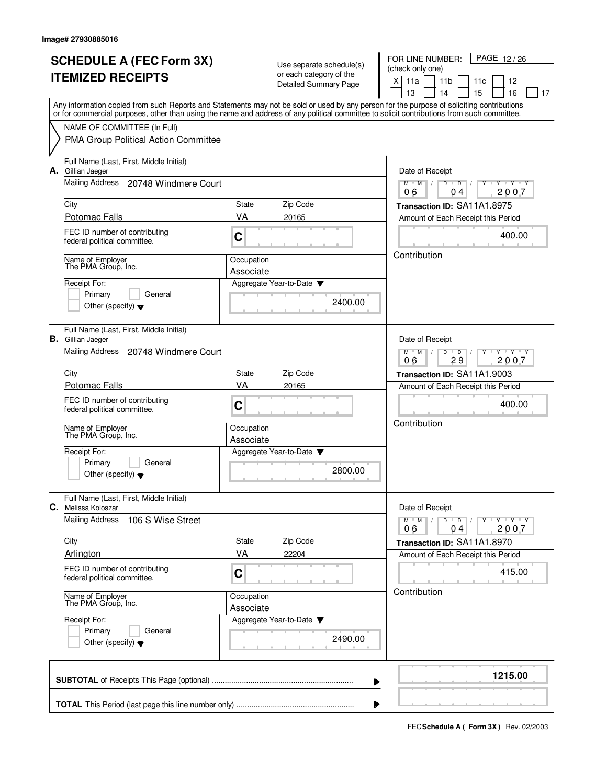| <b>SCHEDULE A (FEC Form 3X)</b>                                                                                                                                                                                                                                                         |                         |                                                     | PAGE 12/26<br>FOR LINE NUMBER:                                                                                       |  |  |  |  |  |  |  |  |  |  |
|-----------------------------------------------------------------------------------------------------------------------------------------------------------------------------------------------------------------------------------------------------------------------------------------|-------------------------|-----------------------------------------------------|----------------------------------------------------------------------------------------------------------------------|--|--|--|--|--|--|--|--|--|--|
|                                                                                                                                                                                                                                                                                         |                         | Use separate schedule(s)<br>or each category of the | (check only one)                                                                                                     |  |  |  |  |  |  |  |  |  |  |
| <b>ITEMIZED RECEIPTS</b>                                                                                                                                                                                                                                                                |                         | Detailed Summary Page                               | X<br>11a<br>11 <sub>b</sub><br>12<br>11c                                                                             |  |  |  |  |  |  |  |  |  |  |
|                                                                                                                                                                                                                                                                                         |                         |                                                     | 13<br>15<br>16<br>14<br>17                                                                                           |  |  |  |  |  |  |  |  |  |  |
| Any information copied from such Reports and Statements may not be sold or used by any person for the purpose of soliciting contributions<br>or for commercial purposes, other than using the name and address of any political committee to solicit contributions from such committee. |                         |                                                     |                                                                                                                      |  |  |  |  |  |  |  |  |  |  |
| NAME OF COMMITTEE (In Full)                                                                                                                                                                                                                                                             |                         |                                                     |                                                                                                                      |  |  |  |  |  |  |  |  |  |  |
| PMA Group Political Action Committee                                                                                                                                                                                                                                                    |                         |                                                     |                                                                                                                      |  |  |  |  |  |  |  |  |  |  |
| Full Name (Last, First, Middle Initial)<br>A. Gillian Jaeger                                                                                                                                                                                                                            |                         |                                                     | Date of Receipt                                                                                                      |  |  |  |  |  |  |  |  |  |  |
| Mailing Address<br>20748 Windmere Court                                                                                                                                                                                                                                                 |                         |                                                     | $Y + Y + Y$<br>$M$ /<br>D<br>$\overline{D}$<br>M<br>2007<br>06<br>04                                                 |  |  |  |  |  |  |  |  |  |  |
| City                                                                                                                                                                                                                                                                                    | State                   | Zip Code                                            | Transaction ID: SA11A1.8975                                                                                          |  |  |  |  |  |  |  |  |  |  |
| Potomac Falls                                                                                                                                                                                                                                                                           | VA                      | 20165                                               | Amount of Each Receipt this Period                                                                                   |  |  |  |  |  |  |  |  |  |  |
| FEC ID number of contributing<br>federal political committee.                                                                                                                                                                                                                           | $\mathbf C$             |                                                     | 400.00                                                                                                               |  |  |  |  |  |  |  |  |  |  |
| Name of Employer<br>The PMA Group, Inc.                                                                                                                                                                                                                                                 | Occupation<br>Associate |                                                     | Contribution                                                                                                         |  |  |  |  |  |  |  |  |  |  |
| Receipt For:                                                                                                                                                                                                                                                                            |                         | Aggregate Year-to-Date                              |                                                                                                                      |  |  |  |  |  |  |  |  |  |  |
| Primary<br>General                                                                                                                                                                                                                                                                      |                         |                                                     |                                                                                                                      |  |  |  |  |  |  |  |  |  |  |
| Other (specify) $\blacktriangledown$                                                                                                                                                                                                                                                    |                         | 2400.00                                             |                                                                                                                      |  |  |  |  |  |  |  |  |  |  |
| Full Name (Last, First, Middle Initial)<br><b>B.</b> Gillian Jaeger                                                                                                                                                                                                                     |                         |                                                     | Date of Receipt                                                                                                      |  |  |  |  |  |  |  |  |  |  |
| Mailing Address 20748 Windmere Court                                                                                                                                                                                                                                                    |                         |                                                     | $Y - Y - Y$<br>$M$ $M$ /<br>D<br>$\overline{D}$<br>29<br>06<br>2007                                                  |  |  |  |  |  |  |  |  |  |  |
| City                                                                                                                                                                                                                                                                                    | State                   | Zip Code                                            | Transaction ID: SA11A1.9003                                                                                          |  |  |  |  |  |  |  |  |  |  |
| Potomac Falls                                                                                                                                                                                                                                                                           | VA                      | 20165                                               | Amount of Each Receipt this Period                                                                                   |  |  |  |  |  |  |  |  |  |  |
| FEC ID number of contributing<br>federal political committee.                                                                                                                                                                                                                           | C                       |                                                     | 400.00                                                                                                               |  |  |  |  |  |  |  |  |  |  |
| Name of Employer<br>The PMA Group, Inc.                                                                                                                                                                                                                                                 | Occupation<br>Associate |                                                     | Contribution                                                                                                         |  |  |  |  |  |  |  |  |  |  |
| Receipt For:                                                                                                                                                                                                                                                                            |                         | Aggregate Year-to-Date                              |                                                                                                                      |  |  |  |  |  |  |  |  |  |  |
| Primary<br>General<br>Other (specify) $\blacktriangledown$                                                                                                                                                                                                                              |                         | 2800.00                                             |                                                                                                                      |  |  |  |  |  |  |  |  |  |  |
| Full Name (Last, First, Middle Initial)<br><b>C.</b> Melissa Koloszar                                                                                                                                                                                                                   |                         |                                                     | Date of Receipt                                                                                                      |  |  |  |  |  |  |  |  |  |  |
| <b>Mailing Address</b><br>106 S Wise Street                                                                                                                                                                                                                                             |                         |                                                     | $\mathsf{Y} \dashv \mathsf{Y} \dashv \mathsf{Y} \dashv \mathsf{Y}$<br>$M$ $M$ $M$<br>$D$ $D$ $I$<br>2007<br>06<br>04 |  |  |  |  |  |  |  |  |  |  |
| City                                                                                                                                                                                                                                                                                    | State                   | Zip Code                                            | Transaction ID: SA11A1.8970                                                                                          |  |  |  |  |  |  |  |  |  |  |
| Arlington                                                                                                                                                                                                                                                                               | VA                      | 22204                                               | Amount of Each Receipt this Period                                                                                   |  |  |  |  |  |  |  |  |  |  |
| FEC ID number of contributing<br>federal political committee.                                                                                                                                                                                                                           | C                       |                                                     | 415.00                                                                                                               |  |  |  |  |  |  |  |  |  |  |
| Name of Employer<br>The PMA Group, Inc.                                                                                                                                                                                                                                                 | Occupation<br>Associate |                                                     | Contribution                                                                                                         |  |  |  |  |  |  |  |  |  |  |
| Receipt For:<br>Primary<br>General<br>Other (specify) $\blacktriangledown$                                                                                                                                                                                                              |                         | Aggregate Year-to-Date<br>2490.00                   |                                                                                                                      |  |  |  |  |  |  |  |  |  |  |
|                                                                                                                                                                                                                                                                                         |                         |                                                     | 1215.00                                                                                                              |  |  |  |  |  |  |  |  |  |  |
|                                                                                                                                                                                                                                                                                         | ▶                       |                                                     |                                                                                                                      |  |  |  |  |  |  |  |  |  |  |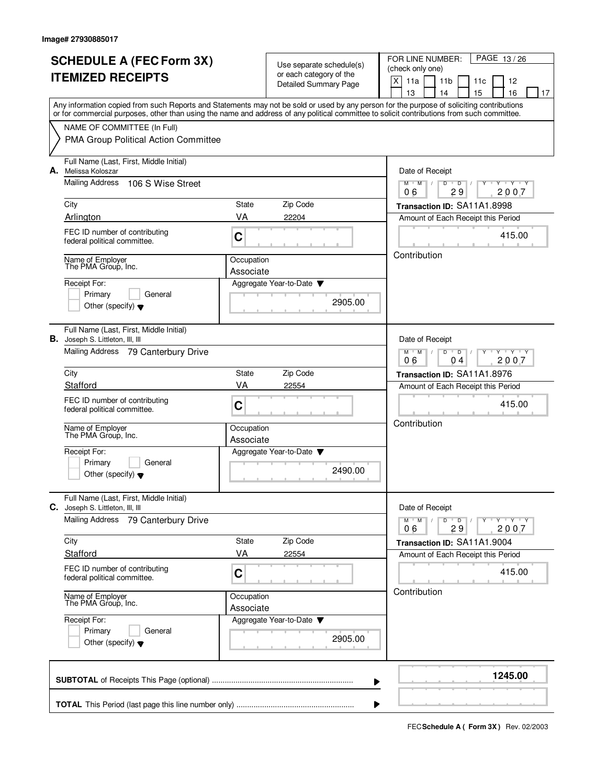| <b>SCHEDULE A (FEC Form 3X)</b>                                                                                                                                                                                                                                                         |                         | Use separate schedule(s)<br>or each category of the | PAGE 13/26<br>FOR LINE NUMBER:<br>(check only one)                                     |  |  |  |  |  |  |  |  |  |  |  |
|-----------------------------------------------------------------------------------------------------------------------------------------------------------------------------------------------------------------------------------------------------------------------------------------|-------------------------|-----------------------------------------------------|----------------------------------------------------------------------------------------|--|--|--|--|--|--|--|--|--|--|--|
| <b>ITEMIZED RECEIPTS</b>                                                                                                                                                                                                                                                                |                         | <b>Detailed Summary Page</b>                        | X<br>11a<br>11 <sub>b</sub><br>12<br>11c                                               |  |  |  |  |  |  |  |  |  |  |  |
|                                                                                                                                                                                                                                                                                         |                         |                                                     | 13<br>14<br>15<br>16<br>17                                                             |  |  |  |  |  |  |  |  |  |  |  |
| Any information copied from such Reports and Statements may not be sold or used by any person for the purpose of soliciting contributions<br>or for commercial purposes, other than using the name and address of any political committee to solicit contributions from such committee. |                         |                                                     |                                                                                        |  |  |  |  |  |  |  |  |  |  |  |
| NAME OF COMMITTEE (In Full)                                                                                                                                                                                                                                                             |                         |                                                     |                                                                                        |  |  |  |  |  |  |  |  |  |  |  |
| PMA Group Political Action Committee                                                                                                                                                                                                                                                    |                         |                                                     |                                                                                        |  |  |  |  |  |  |  |  |  |  |  |
| Full Name (Last, First, Middle Initial)<br>A. Melissa Koloszar                                                                                                                                                                                                                          |                         |                                                     | Date of Receipt                                                                        |  |  |  |  |  |  |  |  |  |  |  |
| Mailing Address<br>106 S Wise Street                                                                                                                                                                                                                                                    |                         |                                                     | $Y - Y - Y$<br>$M$ $M$ /<br>D<br>$\overline{D}$<br>29<br>2007<br>06                    |  |  |  |  |  |  |  |  |  |  |  |
| City                                                                                                                                                                                                                                                                                    | State                   | Zip Code                                            | Transaction ID: SA11A1.8998                                                            |  |  |  |  |  |  |  |  |  |  |  |
| Arlington                                                                                                                                                                                                                                                                               | VA                      | 22204                                               | Amount of Each Receipt this Period                                                     |  |  |  |  |  |  |  |  |  |  |  |
| FEC ID number of contributing<br>federal political committee.                                                                                                                                                                                                                           | C                       |                                                     | 415.00                                                                                 |  |  |  |  |  |  |  |  |  |  |  |
| Name of Employer<br>The PMA Group, Inc.                                                                                                                                                                                                                                                 | Occupation<br>Associate |                                                     | Contribution                                                                           |  |  |  |  |  |  |  |  |  |  |  |
| Receipt For:                                                                                                                                                                                                                                                                            |                         | Aggregate Year-to-Date                              |                                                                                        |  |  |  |  |  |  |  |  |  |  |  |
| Primary<br>General                                                                                                                                                                                                                                                                      |                         |                                                     |                                                                                        |  |  |  |  |  |  |  |  |  |  |  |
| Other (specify) $\blacktriangledown$                                                                                                                                                                                                                                                    |                         | 2905.00                                             |                                                                                        |  |  |  |  |  |  |  |  |  |  |  |
| Full Name (Last, First, Middle Initial)<br><b>B.</b> Joseph S. Littleton, III, III                                                                                                                                                                                                      |                         |                                                     | Date of Receipt<br>$Y - Y - Y$<br>$M$ $M$ /<br>D<br>$\overline{D}$<br>2007<br>06<br>04 |  |  |  |  |  |  |  |  |  |  |  |
| Mailing Address 79 Canterbury Drive                                                                                                                                                                                                                                                     |                         |                                                     |                                                                                        |  |  |  |  |  |  |  |  |  |  |  |
| City                                                                                                                                                                                                                                                                                    | State                   | Zip Code                                            | Transaction ID: SA11A1.8976                                                            |  |  |  |  |  |  |  |  |  |  |  |
| Stafford                                                                                                                                                                                                                                                                                | VA                      | 22554                                               | Amount of Each Receipt this Period                                                     |  |  |  |  |  |  |  |  |  |  |  |
| FEC ID number of contributing<br>federal political committee.                                                                                                                                                                                                                           | C                       |                                                     | 415.00                                                                                 |  |  |  |  |  |  |  |  |  |  |  |
| Name of Employer<br>The PMA Group, Inc.                                                                                                                                                                                                                                                 | Occupation<br>Associate |                                                     | Contribution                                                                           |  |  |  |  |  |  |  |  |  |  |  |
| Receipt For:                                                                                                                                                                                                                                                                            |                         | Aggregate Year-to-Date                              |                                                                                        |  |  |  |  |  |  |  |  |  |  |  |
| Primary<br>General<br>Other (specify) $\blacktriangledown$                                                                                                                                                                                                                              |                         | 2490.00                                             |                                                                                        |  |  |  |  |  |  |  |  |  |  |  |
| Full Name (Last, First, Middle Initial)<br><b>C.</b> Joseph S. Littleton, III, III                                                                                                                                                                                                      |                         |                                                     | Date of Receipt                                                                        |  |  |  |  |  |  |  |  |  |  |  |
| <b>Mailing Address</b><br>79 Canterbury Drive                                                                                                                                                                                                                                           |                         |                                                     | Y ' Y ' Y<br>$M$ $M$<br>$D$ $D$                                                        |  |  |  |  |  |  |  |  |  |  |  |
|                                                                                                                                                                                                                                                                                         |                         |                                                     | 2007<br>29<br>06                                                                       |  |  |  |  |  |  |  |  |  |  |  |
| City                                                                                                                                                                                                                                                                                    | State                   | Zip Code                                            | Transaction ID: SA11A1.9004                                                            |  |  |  |  |  |  |  |  |  |  |  |
| Stafford                                                                                                                                                                                                                                                                                | VA                      | 22554                                               | Amount of Each Receipt this Period                                                     |  |  |  |  |  |  |  |  |  |  |  |
| FEC ID number of contributing<br>federal political committee.                                                                                                                                                                                                                           | С                       |                                                     | 415.00                                                                                 |  |  |  |  |  |  |  |  |  |  |  |
| Name of Employer<br>The PMA Group, Inc.                                                                                                                                                                                                                                                 | Occupation<br>Associate |                                                     | Contribution                                                                           |  |  |  |  |  |  |  |  |  |  |  |
| Receipt For:<br>Primary<br>General<br>Other (specify) $\blacktriangledown$                                                                                                                                                                                                              |                         | Aggregate Year-to-Date ▼<br>2905.00                 |                                                                                        |  |  |  |  |  |  |  |  |  |  |  |
|                                                                                                                                                                                                                                                                                         |                         |                                                     |                                                                                        |  |  |  |  |  |  |  |  |  |  |  |
|                                                                                                                                                                                                                                                                                         |                         | ▶                                                   | 1245.00                                                                                |  |  |  |  |  |  |  |  |  |  |  |
|                                                                                                                                                                                                                                                                                         |                         |                                                     |                                                                                        |  |  |  |  |  |  |  |  |  |  |  |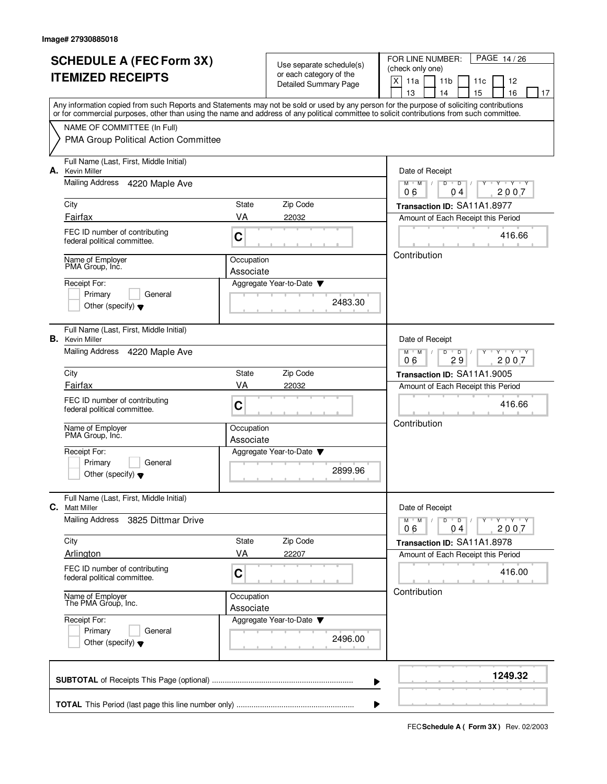|    | <b>SCHEDULE A (FEC Form 3X)</b>                                                                                                                                                                                                                                                         |                         |                                                     | PAGE 14/26<br>FOR LINE NUMBER:                                                         |  |  |  |  |  |  |  |  |  |  |
|----|-----------------------------------------------------------------------------------------------------------------------------------------------------------------------------------------------------------------------------------------------------------------------------------------|-------------------------|-----------------------------------------------------|----------------------------------------------------------------------------------------|--|--|--|--|--|--|--|--|--|--|
|    | <b>ITEMIZED RECEIPTS</b>                                                                                                                                                                                                                                                                |                         | Use separate schedule(s)<br>or each category of the | (check only one)                                                                       |  |  |  |  |  |  |  |  |  |  |
|    |                                                                                                                                                                                                                                                                                         |                         | Detailed Summary Page                               | X<br>11a<br>11 <sub>b</sub><br>12<br>11c                                               |  |  |  |  |  |  |  |  |  |  |
|    |                                                                                                                                                                                                                                                                                         |                         |                                                     | 15<br>13<br>14<br>16<br>17                                                             |  |  |  |  |  |  |  |  |  |  |
|    | Any information copied from such Reports and Statements may not be sold or used by any person for the purpose of soliciting contributions<br>or for commercial purposes, other than using the name and address of any political committee to solicit contributions from such committee. |                         |                                                     |                                                                                        |  |  |  |  |  |  |  |  |  |  |
|    | NAME OF COMMITTEE (In Full)                                                                                                                                                                                                                                                             |                         |                                                     |                                                                                        |  |  |  |  |  |  |  |  |  |  |
|    | PMA Group Political Action Committee                                                                                                                                                                                                                                                    |                         |                                                     |                                                                                        |  |  |  |  |  |  |  |  |  |  |
| А. | Full Name (Last, First, Middle Initial)<br><b>Kevin Miller</b>                                                                                                                                                                                                                          |                         |                                                     | Date of Receipt                                                                        |  |  |  |  |  |  |  |  |  |  |
|    | Mailing Address<br>4220 Maple Ave                                                                                                                                                                                                                                                       |                         |                                                     | $\mathsf D$<br>$Y + Y + Y$<br>$M$ <sup>-1</sup><br>$M$ /<br>D<br>υ<br>2007<br>06<br>04 |  |  |  |  |  |  |  |  |  |  |
|    | City                                                                                                                                                                                                                                                                                    | State                   | Zip Code                                            | Transaction ID: SA11A1.8977                                                            |  |  |  |  |  |  |  |  |  |  |
|    | Fairfax                                                                                                                                                                                                                                                                                 | VA                      | 22032                                               | Amount of Each Receipt this Period                                                     |  |  |  |  |  |  |  |  |  |  |
|    | FEC ID number of contributing<br>federal political committee.                                                                                                                                                                                                                           | C                       |                                                     | 416.66                                                                                 |  |  |  |  |  |  |  |  |  |  |
|    | Name of Employer<br>PMA Group, Inc.                                                                                                                                                                                                                                                     | Occupation<br>Associate |                                                     | Contribution                                                                           |  |  |  |  |  |  |  |  |  |  |
|    | Receipt For:                                                                                                                                                                                                                                                                            |                         | Aggregate Year-to-Date                              |                                                                                        |  |  |  |  |  |  |  |  |  |  |
|    | Primary<br>General                                                                                                                                                                                                                                                                      |                         | 2483.30                                             |                                                                                        |  |  |  |  |  |  |  |  |  |  |
|    | Other (specify) $\blacktriangledown$                                                                                                                                                                                                                                                    |                         |                                                     |                                                                                        |  |  |  |  |  |  |  |  |  |  |
|    | Full Name (Last, First, Middle Initial)<br><b>B.</b> Kevin Miller                                                                                                                                                                                                                       |                         |                                                     | Date of Receipt                                                                        |  |  |  |  |  |  |  |  |  |  |
|    | Mailing Address<br>4220 Maple Ave                                                                                                                                                                                                                                                       |                         |                                                     | $M$ $M$ /<br>D<br>Y 'Y 'Y<br>$\overline{D}$<br>29<br>2007<br>06                        |  |  |  |  |  |  |  |  |  |  |
|    | City                                                                                                                                                                                                                                                                                    | State                   | Zip Code                                            | Transaction ID: SA11A1.9005                                                            |  |  |  |  |  |  |  |  |  |  |
|    | Fairfax                                                                                                                                                                                                                                                                                 | VA                      | 22032                                               | Amount of Each Receipt this Period                                                     |  |  |  |  |  |  |  |  |  |  |
|    | FEC ID number of contributing<br>federal political committee.                                                                                                                                                                                                                           | C                       |                                                     | 416.66                                                                                 |  |  |  |  |  |  |  |  |  |  |
|    | Name of Employer<br>PMA Group, Inc.                                                                                                                                                                                                                                                     | Occupation              |                                                     | Contribution                                                                           |  |  |  |  |  |  |  |  |  |  |
|    |                                                                                                                                                                                                                                                                                         | Associate               |                                                     |                                                                                        |  |  |  |  |  |  |  |  |  |  |
|    | Receipt For:<br>Primary<br>General                                                                                                                                                                                                                                                      |                         | Aggregate Year-to-Date $\blacktriangledown$         |                                                                                        |  |  |  |  |  |  |  |  |  |  |
|    | Other (specify) $\blacktriangledown$                                                                                                                                                                                                                                                    |                         | 2899.96                                             |                                                                                        |  |  |  |  |  |  |  |  |  |  |
| C. | Full Name (Last, First, Middle Initial)<br><b>Matt Miller</b>                                                                                                                                                                                                                           |                         |                                                     | Date of Receipt                                                                        |  |  |  |  |  |  |  |  |  |  |
|    | <b>Mailing Address</b><br>3825 Dittmar Drive                                                                                                                                                                                                                                            |                         |                                                     | $M^{\prime}$ M $\rightarrow$<br>$D$ $D$ $/$<br>y ry ry y ry<br>04<br>2007<br>06        |  |  |  |  |  |  |  |  |  |  |
|    | City                                                                                                                                                                                                                                                                                    | State                   | Zip Code                                            | Transaction ID: SA11A1.8978                                                            |  |  |  |  |  |  |  |  |  |  |
|    | Arlington                                                                                                                                                                                                                                                                               | VA                      | 22207                                               | Amount of Each Receipt this Period                                                     |  |  |  |  |  |  |  |  |  |  |
|    | FEC ID number of contributing<br>federal political committee.                                                                                                                                                                                                                           | $\mathbf C$             |                                                     | 416.00                                                                                 |  |  |  |  |  |  |  |  |  |  |
|    | Name of Employer<br>The PMA Group, Inc.                                                                                                                                                                                                                                                 | Occupation<br>Associate |                                                     | Contribution                                                                           |  |  |  |  |  |  |  |  |  |  |
|    | Receipt For:                                                                                                                                                                                                                                                                            |                         | Aggregate Year-to-Date                              |                                                                                        |  |  |  |  |  |  |  |  |  |  |
|    | Primary<br>General<br>Other (specify) $\blacktriangledown$                                                                                                                                                                                                                              |                         | 2496.00                                             |                                                                                        |  |  |  |  |  |  |  |  |  |  |
|    |                                                                                                                                                                                                                                                                                         |                         |                                                     |                                                                                        |  |  |  |  |  |  |  |  |  |  |
|    |                                                                                                                                                                                                                                                                                         |                         | ▶                                                   | 1249.32                                                                                |  |  |  |  |  |  |  |  |  |  |
|    |                                                                                                                                                                                                                                                                                         |                         | ▶                                                   |                                                                                        |  |  |  |  |  |  |  |  |  |  |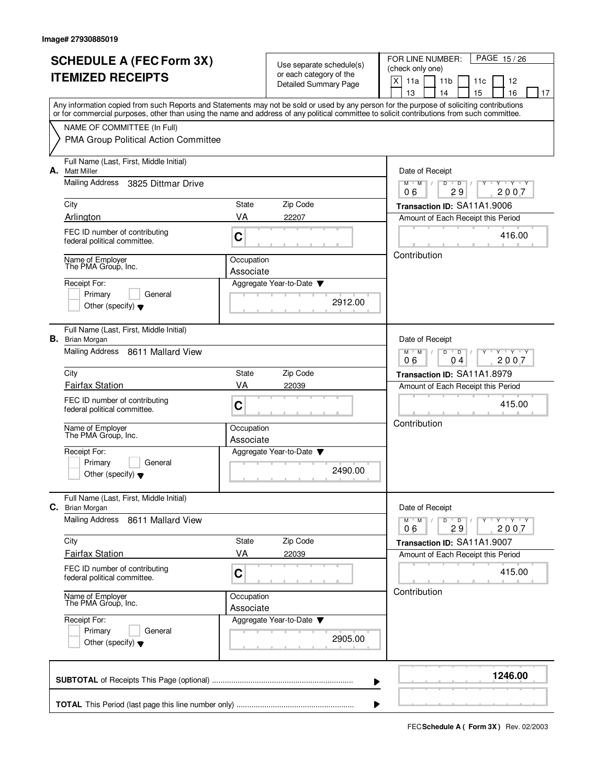|    | <b>SCHEDULE A (FEC Form 3X)</b>                                                                                                                                                                                                                                                         |                         |                                                  | PAGE 15/26<br>FOR LINE NUMBER:                                                |  |  |  |  |  |  |  |  |  |  |
|----|-----------------------------------------------------------------------------------------------------------------------------------------------------------------------------------------------------------------------------------------------------------------------------------------|-------------------------|--------------------------------------------------|-------------------------------------------------------------------------------|--|--|--|--|--|--|--|--|--|--|
|    |                                                                                                                                                                                                                                                                                         |                         | (check only one)                                 |                                                                               |  |  |  |  |  |  |  |  |  |  |
|    | <b>ITEMIZED RECEIPTS</b>                                                                                                                                                                                                                                                                |                         | or each category of the<br>Detailed Summary Page | X<br>11a<br>11 <sub>b</sub><br>12<br>11c                                      |  |  |  |  |  |  |  |  |  |  |
|    |                                                                                                                                                                                                                                                                                         |                         |                                                  | 13<br>15<br>16<br>14<br>17                                                    |  |  |  |  |  |  |  |  |  |  |
|    | Any information copied from such Reports and Statements may not be sold or used by any person for the purpose of soliciting contributions<br>or for commercial purposes, other than using the name and address of any political committee to solicit contributions from such committee. |                         |                                                  |                                                                               |  |  |  |  |  |  |  |  |  |  |
|    | NAME OF COMMITTEE (In Full)                                                                                                                                                                                                                                                             |                         |                                                  |                                                                               |  |  |  |  |  |  |  |  |  |  |
|    | PMA Group Political Action Committee                                                                                                                                                                                                                                                    |                         |                                                  |                                                                               |  |  |  |  |  |  |  |  |  |  |
| А. | Full Name (Last, First, Middle Initial)<br><b>Matt Miller</b>                                                                                                                                                                                                                           |                         |                                                  | Date of Receipt                                                               |  |  |  |  |  |  |  |  |  |  |
|    | Mailing Address<br>3825 Dittmar Drive                                                                                                                                                                                                                                                   |                         |                                                  | $Y + Y + Y$<br>$M$ /<br>D<br>$\overline{D}$<br>M<br>2007<br>29<br>06          |  |  |  |  |  |  |  |  |  |  |
|    | City                                                                                                                                                                                                                                                                                    | State                   | Zip Code                                         | Transaction ID: SA11A1.9006                                                   |  |  |  |  |  |  |  |  |  |  |
|    | Arlington                                                                                                                                                                                                                                                                               | VA                      | 22207                                            | Amount of Each Receipt this Period                                            |  |  |  |  |  |  |  |  |  |  |
|    | FEC ID number of contributing<br>federal political committee.                                                                                                                                                                                                                           | $\mathbf C$             |                                                  | 416.00                                                                        |  |  |  |  |  |  |  |  |  |  |
|    | Name of Employer<br>The PMA Group, Inc.                                                                                                                                                                                                                                                 | Occupation<br>Associate |                                                  | Contribution                                                                  |  |  |  |  |  |  |  |  |  |  |
|    | Receipt For:                                                                                                                                                                                                                                                                            |                         | Aggregate Year-to-Date                           |                                                                               |  |  |  |  |  |  |  |  |  |  |
|    | Primary<br>General                                                                                                                                                                                                                                                                      |                         |                                                  |                                                                               |  |  |  |  |  |  |  |  |  |  |
|    | Other (specify) $\blacktriangledown$                                                                                                                                                                                                                                                    |                         | 2912.00                                          |                                                                               |  |  |  |  |  |  |  |  |  |  |
|    | Full Name (Last, First, Middle Initial)<br><b>B.</b> Brian Morgan                                                                                                                                                                                                                       |                         |                                                  | Date of Receipt                                                               |  |  |  |  |  |  |  |  |  |  |
|    | Mailing Address 8611 Mallard View                                                                                                                                                                                                                                                       |                         |                                                  | $Y \vdash Y \vdash Y$<br>$M$ $M$ /<br>D<br>$\overline{D}$<br>06<br>2007<br>04 |  |  |  |  |  |  |  |  |  |  |
|    | City                                                                                                                                                                                                                                                                                    | <b>State</b>            | Zip Code                                         | Transaction ID: SA11A1.8979                                                   |  |  |  |  |  |  |  |  |  |  |
|    | <b>Fairfax Station</b>                                                                                                                                                                                                                                                                  | VA                      | 22039                                            | Amount of Each Receipt this Period                                            |  |  |  |  |  |  |  |  |  |  |
|    | FEC ID number of contributing<br>federal political committee.                                                                                                                                                                                                                           | C                       |                                                  | 415.00                                                                        |  |  |  |  |  |  |  |  |  |  |
|    | Name of Employer<br>The PMA Group, Inc.                                                                                                                                                                                                                                                 | Occupation<br>Associate |                                                  | Contribution                                                                  |  |  |  |  |  |  |  |  |  |  |
|    | Receipt For:                                                                                                                                                                                                                                                                            |                         | Aggregate Year-to-Date                           |                                                                               |  |  |  |  |  |  |  |  |  |  |
|    | Primary<br>General<br>Other (specify) $\blacktriangledown$                                                                                                                                                                                                                              |                         | 2490.00                                          |                                                                               |  |  |  |  |  |  |  |  |  |  |
|    | Full Name (Last, First, Middle Initial)<br>C. Brian Morgan                                                                                                                                                                                                                              |                         |                                                  | Date of Receipt                                                               |  |  |  |  |  |  |  |  |  |  |
|    | <b>Mailing Address</b><br>8611 Mallard View                                                                                                                                                                                                                                             |                         |                                                  | $Y$ $Y$ $Y$<br>$M$ $M$ $M$<br>$D$ $D$ $/$<br>Y<br>2007<br>29<br>06            |  |  |  |  |  |  |  |  |  |  |
|    | City                                                                                                                                                                                                                                                                                    | State                   | Zip Code                                         | Transaction ID: SA11A1.9007                                                   |  |  |  |  |  |  |  |  |  |  |
|    | <b>Fairfax Station</b>                                                                                                                                                                                                                                                                  | VA                      | 22039                                            | Amount of Each Receipt this Period                                            |  |  |  |  |  |  |  |  |  |  |
|    | FEC ID number of contributing<br>federal political committee.                                                                                                                                                                                                                           | C                       |                                                  | 415.00                                                                        |  |  |  |  |  |  |  |  |  |  |
|    | Name of Employer<br>The PMA Group, Inc.                                                                                                                                                                                                                                                 | Occupation<br>Associate |                                                  | Contribution                                                                  |  |  |  |  |  |  |  |  |  |  |
|    | Receipt For:<br>Primary<br>General<br>Other (specify) $\blacktriangledown$                                                                                                                                                                                                              |                         | Aggregate Year-to-Date ▼<br>2905.00              |                                                                               |  |  |  |  |  |  |  |  |  |  |
|    |                                                                                                                                                                                                                                                                                         |                         |                                                  | 1246.00                                                                       |  |  |  |  |  |  |  |  |  |  |
|    |                                                                                                                                                                                                                                                                                         | ▶                       |                                                  |                                                                               |  |  |  |  |  |  |  |  |  |  |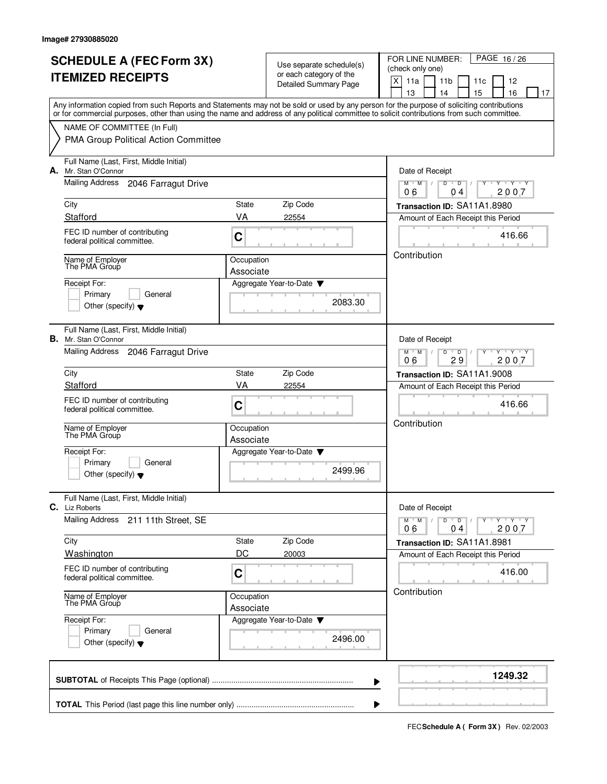|    | <b>SCHEDULE A (FEC Form 3X)</b><br><b>ITEMIZED RECEIPTS</b>                                                                                                                                                                                                                             |                                     | Use separate schedule(s)<br>or each category of the | PAGE 16/26<br>FOR LINE NUMBER:<br>(check only one)<br>X<br>11a<br>11 <sub>b</sub><br>11c<br>12 |  |  |  |  |  |  |  |  |  |  |  |  |
|----|-----------------------------------------------------------------------------------------------------------------------------------------------------------------------------------------------------------------------------------------------------------------------------------------|-------------------------------------|-----------------------------------------------------|------------------------------------------------------------------------------------------------|--|--|--|--|--|--|--|--|--|--|--|--|
|    |                                                                                                                                                                                                                                                                                         |                                     | <b>Detailed Summary Page</b>                        | 13<br>14<br>15<br>16<br>17                                                                     |  |  |  |  |  |  |  |  |  |  |  |  |
|    | Any information copied from such Reports and Statements may not be sold or used by any person for the purpose of soliciting contributions<br>or for commercial purposes, other than using the name and address of any political committee to solicit contributions from such committee. |                                     |                                                     |                                                                                                |  |  |  |  |  |  |  |  |  |  |  |  |
|    | NAME OF COMMITTEE (In Full)                                                                                                                                                                                                                                                             |                                     |                                                     |                                                                                                |  |  |  |  |  |  |  |  |  |  |  |  |
|    | PMA Group Political Action Committee                                                                                                                                                                                                                                                    |                                     |                                                     |                                                                                                |  |  |  |  |  |  |  |  |  |  |  |  |
|    | Full Name (Last, First, Middle Initial)<br>A. Mr. Stan O'Connor                                                                                                                                                                                                                         |                                     |                                                     | Date of Receipt                                                                                |  |  |  |  |  |  |  |  |  |  |  |  |
|    | Mailing Address<br>2046 Farragut Drive                                                                                                                                                                                                                                                  |                                     |                                                     | $Y - Y - Y$<br>$M$ $M$ /<br>D<br>$\overline{D}$<br>2007<br>06<br>0 <sub>4</sub>                |  |  |  |  |  |  |  |  |  |  |  |  |
|    | City                                                                                                                                                                                                                                                                                    | State                               | Zip Code                                            | Transaction ID: SA11A1.8980                                                                    |  |  |  |  |  |  |  |  |  |  |  |  |
|    | Stafford                                                                                                                                                                                                                                                                                | VA                                  | 22554                                               | Amount of Each Receipt this Period                                                             |  |  |  |  |  |  |  |  |  |  |  |  |
|    | FEC ID number of contributing<br>federal political committee.                                                                                                                                                                                                                           | C                                   |                                                     | 416.66                                                                                         |  |  |  |  |  |  |  |  |  |  |  |  |
|    | Name of Employer<br>The PMA Group                                                                                                                                                                                                                                                       | Occupation<br>Associate             |                                                     | Contribution                                                                                   |  |  |  |  |  |  |  |  |  |  |  |  |
|    | Receipt For:                                                                                                                                                                                                                                                                            |                                     | Aggregate Year-to-Date                              |                                                                                                |  |  |  |  |  |  |  |  |  |  |  |  |
|    | Primary<br>General<br>Other (specify) $\blacktriangledown$                                                                                                                                                                                                                              |                                     | 2083.30                                             |                                                                                                |  |  |  |  |  |  |  |  |  |  |  |  |
|    |                                                                                                                                                                                                                                                                                         |                                     |                                                     |                                                                                                |  |  |  |  |  |  |  |  |  |  |  |  |
| В. | Full Name (Last, First, Middle Initial)<br>Mr. Stan O'Connor                                                                                                                                                                                                                            |                                     |                                                     | Date of Receipt                                                                                |  |  |  |  |  |  |  |  |  |  |  |  |
|    | Mailing Address 2046 Farragut Drive                                                                                                                                                                                                                                                     |                                     |                                                     | $Y - Y - Y$<br>$M^+$ M<br>D<br>D<br>29<br>2007<br>06                                           |  |  |  |  |  |  |  |  |  |  |  |  |
|    | City                                                                                                                                                                                                                                                                                    | State                               | Zip Code                                            | Transaction ID: SA11A1.9008                                                                    |  |  |  |  |  |  |  |  |  |  |  |  |
|    | Stafford                                                                                                                                                                                                                                                                                | VA                                  | 22554                                               | Amount of Each Receipt this Period                                                             |  |  |  |  |  |  |  |  |  |  |  |  |
|    | FEC ID number of contributing<br>federal political committee.                                                                                                                                                                                                                           | C                                   |                                                     | 416.66<br>Contribution                                                                         |  |  |  |  |  |  |  |  |  |  |  |  |
|    | Name of Employer<br>The PMA Group                                                                                                                                                                                                                                                       | Occupation<br>Associate             |                                                     |                                                                                                |  |  |  |  |  |  |  |  |  |  |  |  |
|    | Receipt For:                                                                                                                                                                                                                                                                            |                                     | Aggregate Year-to-Date                              |                                                                                                |  |  |  |  |  |  |  |  |  |  |  |  |
|    | Primary<br>General<br>Other (specify) $\blacktriangledown$                                                                                                                                                                                                                              |                                     | 2499.96                                             |                                                                                                |  |  |  |  |  |  |  |  |  |  |  |  |
|    | Full Name (Last, First, Middle Initial)<br><b>C.</b> Liz Roberts                                                                                                                                                                                                                        |                                     |                                                     | Date of Receipt                                                                                |  |  |  |  |  |  |  |  |  |  |  |  |
|    | <b>Mailing Address</b><br>211 11th Street, SE                                                                                                                                                                                                                                           |                                     |                                                     | $Y - Y - Y$<br>$D$ $D$<br>$M^+$ M<br>$\sqrt{ }$<br>2007<br>0 <sub>4</sub><br>06                |  |  |  |  |  |  |  |  |  |  |  |  |
|    | City                                                                                                                                                                                                                                                                                    | State                               | Zip Code                                            | Transaction ID: SA11A1.8981                                                                    |  |  |  |  |  |  |  |  |  |  |  |  |
|    | Washington                                                                                                                                                                                                                                                                              | DC                                  | 20003                                               | Amount of Each Receipt this Period                                                             |  |  |  |  |  |  |  |  |  |  |  |  |
|    | FEC ID number of contributing<br>federal political committee.                                                                                                                                                                                                                           | C                                   |                                                     | 416.00                                                                                         |  |  |  |  |  |  |  |  |  |  |  |  |
|    | Name of Employer<br>The PMA Group                                                                                                                                                                                                                                                       | Occupation<br>Associate             |                                                     | Contribution                                                                                   |  |  |  |  |  |  |  |  |  |  |  |  |
|    | Receipt For:<br>Primary<br>General<br>Other (specify) $\blacktriangledown$                                                                                                                                                                                                              | Aggregate Year-to-Date ▼<br>2496.00 |                                                     |                                                                                                |  |  |  |  |  |  |  |  |  |  |  |  |
|    |                                                                                                                                                                                                                                                                                         |                                     | ▶                                                   | 1249.32                                                                                        |  |  |  |  |  |  |  |  |  |  |  |  |
|    |                                                                                                                                                                                                                                                                                         |                                     |                                                     |                                                                                                |  |  |  |  |  |  |  |  |  |  |  |  |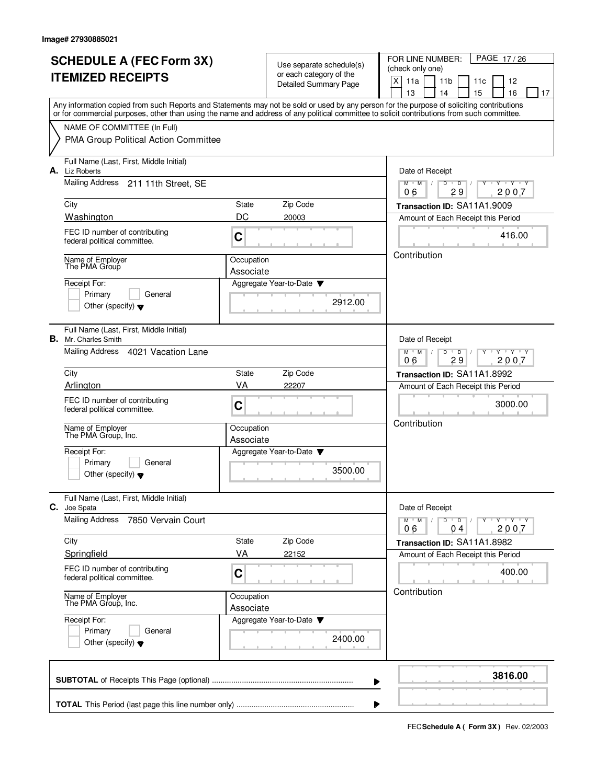|    | <b>SCHEDULE A (FEC Form 3X)</b>                                                                                                                                                                                                                                                         |                         |                                                     | PAGE 17/26<br>FOR LINE NUMBER:                                                               |  |  |  |  |  |  |  |  |  |  |
|----|-----------------------------------------------------------------------------------------------------------------------------------------------------------------------------------------------------------------------------------------------------------------------------------------|-------------------------|-----------------------------------------------------|----------------------------------------------------------------------------------------------|--|--|--|--|--|--|--|--|--|--|
|    |                                                                                                                                                                                                                                                                                         |                         | Use separate schedule(s)<br>or each category of the | (check only one)                                                                             |  |  |  |  |  |  |  |  |  |  |
|    | <b>ITEMIZED RECEIPTS</b>                                                                                                                                                                                                                                                                |                         | Detailed Summary Page                               | X<br>11a<br>11 <sub>b</sub><br>12<br>11c                                                     |  |  |  |  |  |  |  |  |  |  |
|    |                                                                                                                                                                                                                                                                                         |                         |                                                     | 15<br>13<br>14<br>16<br>17                                                                   |  |  |  |  |  |  |  |  |  |  |
|    | Any information copied from such Reports and Statements may not be sold or used by any person for the purpose of soliciting contributions<br>or for commercial purposes, other than using the name and address of any political committee to solicit contributions from such committee. |                         |                                                     |                                                                                              |  |  |  |  |  |  |  |  |  |  |
|    |                                                                                                                                                                                                                                                                                         |                         |                                                     |                                                                                              |  |  |  |  |  |  |  |  |  |  |
|    | NAME OF COMMITTEE (In Full)                                                                                                                                                                                                                                                             |                         |                                                     |                                                                                              |  |  |  |  |  |  |  |  |  |  |
|    | PMA Group Political Action Committee                                                                                                                                                                                                                                                    |                         |                                                     |                                                                                              |  |  |  |  |  |  |  |  |  |  |
|    | Full Name (Last, First, Middle Initial)                                                                                                                                                                                                                                                 |                         |                                                     |                                                                                              |  |  |  |  |  |  |  |  |  |  |
| А. | Liz Roberts                                                                                                                                                                                                                                                                             |                         |                                                     | Date of Receipt                                                                              |  |  |  |  |  |  |  |  |  |  |
|    | Mailing Address 211 11th Street, SE                                                                                                                                                                                                                                                     |                         |                                                     | $M$ $M$ /<br>$\mathsf D$<br>$\overline{D}$<br>Y Y Y Y<br>Y<br>$\sqrt{ }$<br>29<br>2007<br>06 |  |  |  |  |  |  |  |  |  |  |
|    |                                                                                                                                                                                                                                                                                         | State                   | Zip Code                                            |                                                                                              |  |  |  |  |  |  |  |  |  |  |
|    | City<br>Washington                                                                                                                                                                                                                                                                      | DC                      | 20003                                               | Transaction ID: SA11A1.9009                                                                  |  |  |  |  |  |  |  |  |  |  |
|    |                                                                                                                                                                                                                                                                                         |                         |                                                     | Amount of Each Receipt this Period                                                           |  |  |  |  |  |  |  |  |  |  |
|    | FEC ID number of contributing<br>federal political committee.                                                                                                                                                                                                                           | C                       |                                                     | 416.00                                                                                       |  |  |  |  |  |  |  |  |  |  |
|    |                                                                                                                                                                                                                                                                                         |                         |                                                     | Contribution                                                                                 |  |  |  |  |  |  |  |  |  |  |
|    | Name of Employer<br>The PMA Group                                                                                                                                                                                                                                                       | Occupation              |                                                     |                                                                                              |  |  |  |  |  |  |  |  |  |  |
|    |                                                                                                                                                                                                                                                                                         | Associate               |                                                     |                                                                                              |  |  |  |  |  |  |  |  |  |  |
|    | Receipt For:<br>Primary<br>General                                                                                                                                                                                                                                                      |                         | Aggregate Year-to-Date                              |                                                                                              |  |  |  |  |  |  |  |  |  |  |
|    | Other (specify) $\blacktriangledown$                                                                                                                                                                                                                                                    |                         | 2912.00                                             |                                                                                              |  |  |  |  |  |  |  |  |  |  |
|    |                                                                                                                                                                                                                                                                                         |                         |                                                     |                                                                                              |  |  |  |  |  |  |  |  |  |  |
|    | Full Name (Last, First, Middle Initial)                                                                                                                                                                                                                                                 |                         |                                                     |                                                                                              |  |  |  |  |  |  |  |  |  |  |
|    | <b>B.</b> Mr. Charles Smith                                                                                                                                                                                                                                                             |                         |                                                     | Date of Receipt                                                                              |  |  |  |  |  |  |  |  |  |  |
|    | Mailing Address 4021 Vacation Lane                                                                                                                                                                                                                                                      |                         |                                                     | $M$ $M$ /<br>$Y - Y - Y$<br>D<br>$\overline{D}$                                              |  |  |  |  |  |  |  |  |  |  |
|    |                                                                                                                                                                                                                                                                                         |                         |                                                     | 29<br>2007<br>06                                                                             |  |  |  |  |  |  |  |  |  |  |
|    | City<br>Arlington                                                                                                                                                                                                                                                                       | State<br>VA             | Zip Code<br>22207                                   | Transaction ID: SA11A1.8992                                                                  |  |  |  |  |  |  |  |  |  |  |
|    |                                                                                                                                                                                                                                                                                         |                         |                                                     | Amount of Each Receipt this Period                                                           |  |  |  |  |  |  |  |  |  |  |
|    | FEC ID number of contributing<br>federal political committee.                                                                                                                                                                                                                           | C                       |                                                     | 3000.00                                                                                      |  |  |  |  |  |  |  |  |  |  |
|    |                                                                                                                                                                                                                                                                                         |                         |                                                     | Contribution                                                                                 |  |  |  |  |  |  |  |  |  |  |
|    | Name of Employer<br>The PMA Group, Inc.                                                                                                                                                                                                                                                 | Occupation              |                                                     |                                                                                              |  |  |  |  |  |  |  |  |  |  |
|    |                                                                                                                                                                                                                                                                                         | Associate               |                                                     |                                                                                              |  |  |  |  |  |  |  |  |  |  |
|    | Receipt For:<br>Primary<br>General                                                                                                                                                                                                                                                      |                         | Aggregate Year-to-Date                              |                                                                                              |  |  |  |  |  |  |  |  |  |  |
|    | Other (specify) $\blacktriangledown$                                                                                                                                                                                                                                                    |                         | 3500.00                                             |                                                                                              |  |  |  |  |  |  |  |  |  |  |
|    |                                                                                                                                                                                                                                                                                         |                         |                                                     |                                                                                              |  |  |  |  |  |  |  |  |  |  |
|    | Full Name (Last, First, Middle Initial)                                                                                                                                                                                                                                                 |                         |                                                     |                                                                                              |  |  |  |  |  |  |  |  |  |  |
| С. | Joe Spata                                                                                                                                                                                                                                                                               |                         |                                                     | Date of Receipt                                                                              |  |  |  |  |  |  |  |  |  |  |
|    | <b>Mailing Address</b><br>7850 Vervain Court                                                                                                                                                                                                                                            |                         |                                                     | $D$ $D$<br>$M$ $M$ $/$<br>$Y \rightarrow Y \rightarrow Y$<br>2007<br>06<br>04                |  |  |  |  |  |  |  |  |  |  |
|    | City                                                                                                                                                                                                                                                                                    | State                   | Zip Code                                            | Transaction ID: SA11A1.8982                                                                  |  |  |  |  |  |  |  |  |  |  |
|    | Springfield                                                                                                                                                                                                                                                                             | VA                      | 22152                                               | Amount of Each Receipt this Period                                                           |  |  |  |  |  |  |  |  |  |  |
|    | FEC ID number of contributing                                                                                                                                                                                                                                                           |                         |                                                     |                                                                                              |  |  |  |  |  |  |  |  |  |  |
|    | federal political committee.                                                                                                                                                                                                                                                            | C                       |                                                     | 400.00                                                                                       |  |  |  |  |  |  |  |  |  |  |
|    |                                                                                                                                                                                                                                                                                         |                         |                                                     | Contribution                                                                                 |  |  |  |  |  |  |  |  |  |  |
|    | Name of Employer<br>The PMA Group, Inc.                                                                                                                                                                                                                                                 | Occupation<br>Associate |                                                     |                                                                                              |  |  |  |  |  |  |  |  |  |  |
|    | Receipt For:                                                                                                                                                                                                                                                                            |                         | Aggregate Year-to-Date                              |                                                                                              |  |  |  |  |  |  |  |  |  |  |
|    | Primary<br>General                                                                                                                                                                                                                                                                      |                         |                                                     |                                                                                              |  |  |  |  |  |  |  |  |  |  |
|    | Other (specify) $\blacktriangledown$                                                                                                                                                                                                                                                    |                         | 2400.00                                             |                                                                                              |  |  |  |  |  |  |  |  |  |  |
|    |                                                                                                                                                                                                                                                                                         |                         |                                                     |                                                                                              |  |  |  |  |  |  |  |  |  |  |
|    |                                                                                                                                                                                                                                                                                         |                         |                                                     |                                                                                              |  |  |  |  |  |  |  |  |  |  |
|    |                                                                                                                                                                                                                                                                                         |                         | ▶                                                   | 3816.00                                                                                      |  |  |  |  |  |  |  |  |  |  |
|    |                                                                                                                                                                                                                                                                                         |                         |                                                     |                                                                                              |  |  |  |  |  |  |  |  |  |  |
|    |                                                                                                                                                                                                                                                                                         |                         |                                                     |                                                                                              |  |  |  |  |  |  |  |  |  |  |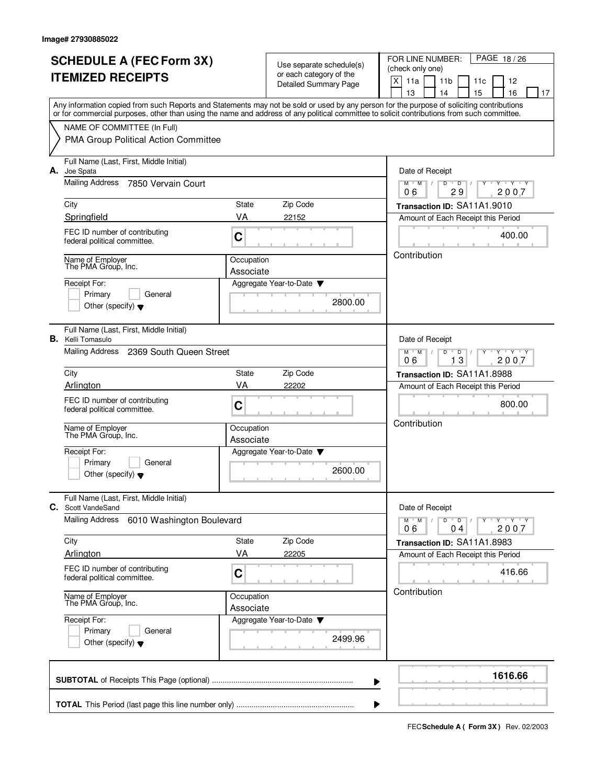|    | <b>SCHEDULE A (FEC Form 3X)</b>                                                                                                                                                                                                                                                         |                         |                                                     | PAGE 18/26<br>FOR LINE NUMBER:                                          |  |  |  |  |  |  |  |  |  |  |
|----|-----------------------------------------------------------------------------------------------------------------------------------------------------------------------------------------------------------------------------------------------------------------------------------------|-------------------------|-----------------------------------------------------|-------------------------------------------------------------------------|--|--|--|--|--|--|--|--|--|--|
|    |                                                                                                                                                                                                                                                                                         |                         | Use separate schedule(s)<br>or each category of the | (check only one)                                                        |  |  |  |  |  |  |  |  |  |  |
|    | <b>ITEMIZED RECEIPTS</b>                                                                                                                                                                                                                                                                |                         | Detailed Summary Page                               | X<br>11a<br>11 <sub>b</sub><br>12<br>11c                                |  |  |  |  |  |  |  |  |  |  |
|    |                                                                                                                                                                                                                                                                                         |                         |                                                     | 13<br>15<br>16<br>14<br>17                                              |  |  |  |  |  |  |  |  |  |  |
|    | Any information copied from such Reports and Statements may not be sold or used by any person for the purpose of soliciting contributions<br>or for commercial purposes, other than using the name and address of any political committee to solicit contributions from such committee. |                         |                                                     |                                                                         |  |  |  |  |  |  |  |  |  |  |
|    | NAME OF COMMITTEE (In Full)                                                                                                                                                                                                                                                             |                         |                                                     |                                                                         |  |  |  |  |  |  |  |  |  |  |
|    | PMA Group Political Action Committee                                                                                                                                                                                                                                                    |                         |                                                     |                                                                         |  |  |  |  |  |  |  |  |  |  |
| А. | Full Name (Last, First, Middle Initial)<br>Joe Spata                                                                                                                                                                                                                                    |                         |                                                     | Date of Receipt                                                         |  |  |  |  |  |  |  |  |  |  |
|    | Mailing Address<br>7850 Vervain Court                                                                                                                                                                                                                                                   |                         |                                                     | $Y + Y + Y$<br>$M$ /<br>D<br>$\overline{D}$<br>M<br>2007<br>29<br>06    |  |  |  |  |  |  |  |  |  |  |
|    | City                                                                                                                                                                                                                                                                                    | State                   | Zip Code                                            | Transaction ID: SA11A1.9010                                             |  |  |  |  |  |  |  |  |  |  |
|    | Springfield                                                                                                                                                                                                                                                                             | VA                      | 22152                                               | Amount of Each Receipt this Period                                      |  |  |  |  |  |  |  |  |  |  |
|    | FEC ID number of contributing<br>federal political committee.                                                                                                                                                                                                                           | $\mathbf C$             |                                                     | 400.00                                                                  |  |  |  |  |  |  |  |  |  |  |
|    | Name of Employer<br>The PMA Group, Inc.                                                                                                                                                                                                                                                 | Occupation              |                                                     | Contribution                                                            |  |  |  |  |  |  |  |  |  |  |
|    | Receipt For:                                                                                                                                                                                                                                                                            | Associate               | Aggregate Year-to-Date                              |                                                                         |  |  |  |  |  |  |  |  |  |  |
|    | Primary<br>General                                                                                                                                                                                                                                                                      |                         |                                                     |                                                                         |  |  |  |  |  |  |  |  |  |  |
|    | Other (specify) $\blacktriangledown$                                                                                                                                                                                                                                                    |                         | 2800.00                                             |                                                                         |  |  |  |  |  |  |  |  |  |  |
|    | Full Name (Last, First, Middle Initial)<br><b>B.</b> Kelli Tomasulo                                                                                                                                                                                                                     |                         |                                                     | Date of Receipt                                                         |  |  |  |  |  |  |  |  |  |  |
|    | Mailing Address<br>2369 South Queen Street                                                                                                                                                                                                                                              |                         |                                                     | $Y - Y - Y$<br>$M$ $M$ /<br>D<br>D<br>06<br>13<br>2007                  |  |  |  |  |  |  |  |  |  |  |
|    | City                                                                                                                                                                                                                                                                                    | State                   | Zip Code                                            | Transaction ID: SA11A1.8988                                             |  |  |  |  |  |  |  |  |  |  |
|    | Arlington                                                                                                                                                                                                                                                                               | VA                      | 22202                                               | Amount of Each Receipt this Period                                      |  |  |  |  |  |  |  |  |  |  |
|    | FEC ID number of contributing<br>federal political committee.                                                                                                                                                                                                                           | C                       |                                                     | 800.00                                                                  |  |  |  |  |  |  |  |  |  |  |
|    | Name of Employer<br>The PMA Group, Inc.                                                                                                                                                                                                                                                 | Occupation<br>Associate |                                                     | Contribution                                                            |  |  |  |  |  |  |  |  |  |  |
|    | Receipt For:                                                                                                                                                                                                                                                                            |                         | Aggregate Year-to-Date                              |                                                                         |  |  |  |  |  |  |  |  |  |  |
|    | Primary<br>General<br>Other (specify) $\blacktriangledown$                                                                                                                                                                                                                              |                         | 2600.00                                             |                                                                         |  |  |  |  |  |  |  |  |  |  |
|    | Full Name (Last, First, Middle Initial)<br>C. Scott VandeSand                                                                                                                                                                                                                           |                         |                                                     | Date of Receipt                                                         |  |  |  |  |  |  |  |  |  |  |
|    | <b>Mailing Address</b><br>6010 Washington Boulevard                                                                                                                                                                                                                                     |                         |                                                     | $Y \dashv Y \dashv Y$<br>$M$ $M$ $M$<br>$D$ $D$ $I$<br>$Y$ <sup>U</sup> |  |  |  |  |  |  |  |  |  |  |
|    |                                                                                                                                                                                                                                                                                         | State                   |                                                     | 2007<br>06<br>04                                                        |  |  |  |  |  |  |  |  |  |  |
|    | City<br>Arlington                                                                                                                                                                                                                                                                       | VA                      | Zip Code<br>22205                                   | Transaction ID: SA11A1.8983<br>Amount of Each Receipt this Period       |  |  |  |  |  |  |  |  |  |  |
|    |                                                                                                                                                                                                                                                                                         |                         |                                                     |                                                                         |  |  |  |  |  |  |  |  |  |  |
|    | FEC ID number of contributing<br>federal political committee.                                                                                                                                                                                                                           | C                       |                                                     | 416.66<br>Contribution                                                  |  |  |  |  |  |  |  |  |  |  |
|    | Name of Employer<br>The PMA Group, Inc.                                                                                                                                                                                                                                                 | Occupation<br>Associate |                                                     |                                                                         |  |  |  |  |  |  |  |  |  |  |
|    | Receipt For:<br>Primary<br>General                                                                                                                                                                                                                                                      |                         | Aggregate Year-to-Date ▼<br>2499.96                 |                                                                         |  |  |  |  |  |  |  |  |  |  |
|    | Other (specify) $\blacktriangledown$                                                                                                                                                                                                                                                    |                         |                                                     |                                                                         |  |  |  |  |  |  |  |  |  |  |
|    |                                                                                                                                                                                                                                                                                         |                         | ▶                                                   | 1616.66                                                                 |  |  |  |  |  |  |  |  |  |  |
|    |                                                                                                                                                                                                                                                                                         |                         |                                                     |                                                                         |  |  |  |  |  |  |  |  |  |  |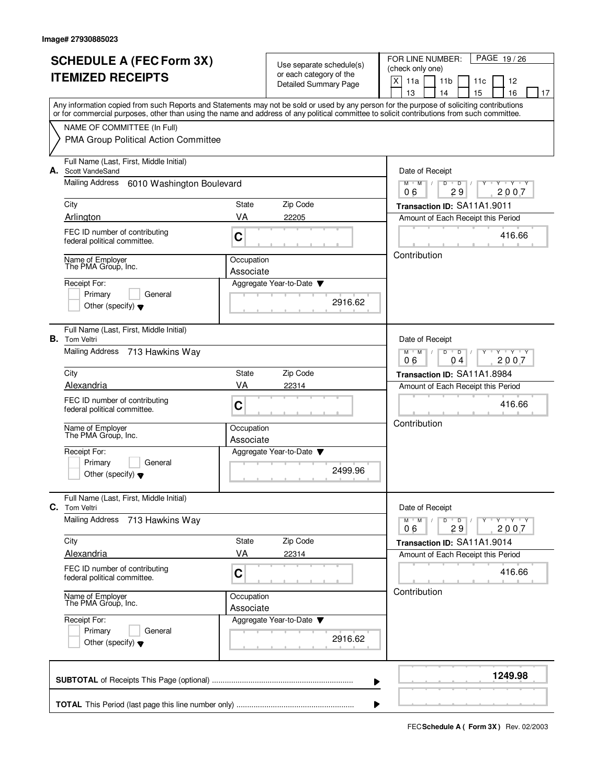|    | <b>SCHEDULE A (FEC Form 3X)</b><br><b>ITEMIZED RECEIPTS</b>                                                                                                                                                                                                                             |                         | Use separate schedule(s)<br>or each category of the | PAGE 19/26<br>FOR LINE NUMBER:<br>(check only one)                        |  |  |  |  |  |  |  |  |  |  |  |  |
|----|-----------------------------------------------------------------------------------------------------------------------------------------------------------------------------------------------------------------------------------------------------------------------------------------|-------------------------|-----------------------------------------------------|---------------------------------------------------------------------------|--|--|--|--|--|--|--|--|--|--|--|--|
|    |                                                                                                                                                                                                                                                                                         |                         | <b>Detailed Summary Page</b>                        | X<br>11a<br>11 <sub>b</sub><br>11c<br>12                                  |  |  |  |  |  |  |  |  |  |  |  |  |
|    | Any information copied from such Reports and Statements may not be sold or used by any person for the purpose of soliciting contributions<br>or for commercial purposes, other than using the name and address of any political committee to solicit contributions from such committee. |                         |                                                     | 13<br>14<br>15<br>16<br>17                                                |  |  |  |  |  |  |  |  |  |  |  |  |
|    | NAME OF COMMITTEE (In Full)                                                                                                                                                                                                                                                             |                         |                                                     |                                                                           |  |  |  |  |  |  |  |  |  |  |  |  |
|    | PMA Group Political Action Committee                                                                                                                                                                                                                                                    |                         |                                                     |                                                                           |  |  |  |  |  |  |  |  |  |  |  |  |
|    | Full Name (Last, First, Middle Initial)<br>A. Scott VandeSand                                                                                                                                                                                                                           |                         |                                                     | Date of Receipt                                                           |  |  |  |  |  |  |  |  |  |  |  |  |
|    | Mailing Address<br>6010 Washington Boulevard                                                                                                                                                                                                                                            |                         |                                                     | $Y - Y - Y$<br>$M$ $M$ /<br>D<br>$\overline{D}$<br>2007<br>29<br>06       |  |  |  |  |  |  |  |  |  |  |  |  |
|    | City                                                                                                                                                                                                                                                                                    | State                   | Zip Code                                            | Transaction ID: SA11A1.9011                                               |  |  |  |  |  |  |  |  |  |  |  |  |
|    | Arlington                                                                                                                                                                                                                                                                               | VA                      | 22205                                               | Amount of Each Receipt this Period                                        |  |  |  |  |  |  |  |  |  |  |  |  |
|    | FEC ID number of contributing<br>federal political committee.                                                                                                                                                                                                                           | C                       |                                                     | 416.66                                                                    |  |  |  |  |  |  |  |  |  |  |  |  |
|    | Name of Employer<br>The PMA Group, Inc.                                                                                                                                                                                                                                                 | Occupation              |                                                     | Contribution                                                              |  |  |  |  |  |  |  |  |  |  |  |  |
|    | Receipt For:                                                                                                                                                                                                                                                                            | Associate               | Aggregate Year-to-Date                              |                                                                           |  |  |  |  |  |  |  |  |  |  |  |  |
|    | Primary<br>General                                                                                                                                                                                                                                                                      |                         |                                                     |                                                                           |  |  |  |  |  |  |  |  |  |  |  |  |
|    | Other (specify) $\bullet$                                                                                                                                                                                                                                                               |                         | 2916.62                                             |                                                                           |  |  |  |  |  |  |  |  |  |  |  |  |
|    | Full Name (Last, First, Middle Initial)<br><b>B.</b> Tom Veltri                                                                                                                                                                                                                         |                         |                                                     | Date of Receipt                                                           |  |  |  |  |  |  |  |  |  |  |  |  |
|    | <b>Mailing Address</b><br>713 Hawkins Way                                                                                                                                                                                                                                               |                         |                                                     | $Y - Y - Y$<br>$M$ M<br>D<br>D<br>2007<br>06<br>04                        |  |  |  |  |  |  |  |  |  |  |  |  |
|    | City                                                                                                                                                                                                                                                                                    | State                   | Zip Code                                            | Transaction ID: SA11A1.8984                                               |  |  |  |  |  |  |  |  |  |  |  |  |
|    | Alexandria                                                                                                                                                                                                                                                                              | VA                      | 22314                                               | Amount of Each Receipt this Period                                        |  |  |  |  |  |  |  |  |  |  |  |  |
|    | FEC ID number of contributing<br>federal political committee.                                                                                                                                                                                                                           | C                       |                                                     | 416.66<br>Contribution                                                    |  |  |  |  |  |  |  |  |  |  |  |  |
|    | Name of Employer<br>The PMA Group, Inc.                                                                                                                                                                                                                                                 | Occupation<br>Associate |                                                     |                                                                           |  |  |  |  |  |  |  |  |  |  |  |  |
|    | Receipt For:                                                                                                                                                                                                                                                                            |                         | Aggregate Year-to-Date                              |                                                                           |  |  |  |  |  |  |  |  |  |  |  |  |
|    | Primary<br>General<br>Other (specify) $\blacktriangledown$                                                                                                                                                                                                                              |                         | 2499.96                                             |                                                                           |  |  |  |  |  |  |  |  |  |  |  |  |
| C. | Full Name (Last, First, Middle Initial)<br><b>Tom Veltri</b>                                                                                                                                                                                                                            |                         |                                                     | Date of Receipt                                                           |  |  |  |  |  |  |  |  |  |  |  |  |
|    | <b>Mailing Address</b><br>713 Hawkins Way                                                                                                                                                                                                                                               |                         |                                                     | Y Y Y Y<br>$M$ M<br>$\sqrt{ }$<br>D<br>$\overline{D}$<br>2007<br>29<br>06 |  |  |  |  |  |  |  |  |  |  |  |  |
|    | City                                                                                                                                                                                                                                                                                    | State                   | Zip Code                                            | Transaction ID: SA11A1.9014                                               |  |  |  |  |  |  |  |  |  |  |  |  |
|    | Alexandria                                                                                                                                                                                                                                                                              | VA                      | 22314                                               | Amount of Each Receipt this Period                                        |  |  |  |  |  |  |  |  |  |  |  |  |
|    | FEC ID number of contributing<br>federal political committee.                                                                                                                                                                                                                           | C                       |                                                     | 416.66                                                                    |  |  |  |  |  |  |  |  |  |  |  |  |
|    | Name of Employer<br>The PMA Group, Inc.                                                                                                                                                                                                                                                 | Occupation<br>Associate |                                                     | Contribution                                                              |  |  |  |  |  |  |  |  |  |  |  |  |
|    | Receipt For:<br>Primary<br>General<br>Other (specify) $\blacktriangledown$                                                                                                                                                                                                              |                         |                                                     |                                                                           |  |  |  |  |  |  |  |  |  |  |  |  |
|    |                                                                                                                                                                                                                                                                                         |                         |                                                     | 1249.98<br>▶                                                              |  |  |  |  |  |  |  |  |  |  |  |  |
|    |                                                                                                                                                                                                                                                                                         |                         |                                                     |                                                                           |  |  |  |  |  |  |  |  |  |  |  |  |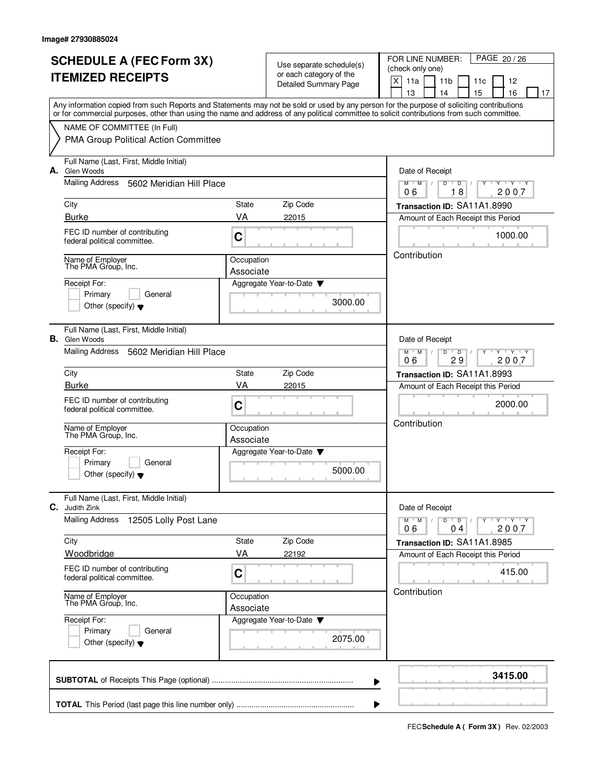|    | <b>SCHEDULE A (FEC Form 3X)</b><br><b>ITEMIZED RECEIPTS</b>                                                                                                                                                                                                                             |                                     | Use separate schedule(s)<br>or each category of the | PAGE 20 / 26<br>FOR LINE NUMBER:<br>(check only one) |                                                                   |                      |           |                         |    |  |  |  |  |  |  |  |
|----|-----------------------------------------------------------------------------------------------------------------------------------------------------------------------------------------------------------------------------------------------------------------------------------------|-------------------------------------|-----------------------------------------------------|------------------------------------------------------|-------------------------------------------------------------------|----------------------|-----------|-------------------------|----|--|--|--|--|--|--|--|
|    |                                                                                                                                                                                                                                                                                         |                                     | <b>Detailed Summary Page</b>                        | X<br>11a                                             | 11 <sub>b</sub><br>14                                             |                      | 11c<br>15 | 12<br>16                | 17 |  |  |  |  |  |  |  |
|    | Any information copied from such Reports and Statements may not be sold or used by any person for the purpose of soliciting contributions<br>or for commercial purposes, other than using the name and address of any political committee to solicit contributions from such committee. |                                     |                                                     | 13                                                   |                                                                   |                      |           |                         |    |  |  |  |  |  |  |  |
|    | NAME OF COMMITTEE (In Full)                                                                                                                                                                                                                                                             |                                     |                                                     |                                                      |                                                                   |                      |           |                         |    |  |  |  |  |  |  |  |
|    | PMA Group Political Action Committee                                                                                                                                                                                                                                                    |                                     |                                                     |                                                      |                                                                   |                      |           |                         |    |  |  |  |  |  |  |  |
|    | Full Name (Last, First, Middle Initial)<br>A. Glen Woods                                                                                                                                                                                                                                |                                     |                                                     |                                                      | Date of Receipt                                                   |                      |           |                         |    |  |  |  |  |  |  |  |
|    | Mailing Address<br>5602 Meridian Hill Place                                                                                                                                                                                                                                             |                                     |                                                     | $M$ $M$ /<br>06                                      | D                                                                 | $\overline{D}$<br>18 |           | $Y - Y - Y$<br>2007     |    |  |  |  |  |  |  |  |
|    | City                                                                                                                                                                                                                                                                                    | State                               | Zip Code                                            |                                                      | Transaction ID: SA11A1.8990                                       |                      |           |                         |    |  |  |  |  |  |  |  |
|    | Burke                                                                                                                                                                                                                                                                                   | VA                                  | 22015                                               |                                                      | Amount of Each Receipt this Period                                |                      |           |                         |    |  |  |  |  |  |  |  |
|    | FEC ID number of contributing<br>federal political committee.                                                                                                                                                                                                                           | C                                   |                                                     | 1000.00<br>Contribution                              |                                                                   |                      |           |                         |    |  |  |  |  |  |  |  |
|    | Name of Employer<br>The PMA Group, Inc.                                                                                                                                                                                                                                                 | Occupation<br>Associate             |                                                     |                                                      |                                                                   |                      |           |                         |    |  |  |  |  |  |  |  |
|    | Receipt For:                                                                                                                                                                                                                                                                            |                                     | Aggregate Year-to-Date                              |                                                      |                                                                   |                      |           |                         |    |  |  |  |  |  |  |  |
|    | Primary<br>General<br>Other (specify) $\blacktriangledown$                                                                                                                                                                                                                              |                                     | 3000.00                                             |                                                      |                                                                   |                      |           |                         |    |  |  |  |  |  |  |  |
|    | Full Name (Last, First, Middle Initial)                                                                                                                                                                                                                                                 |                                     |                                                     |                                                      |                                                                   |                      |           |                         |    |  |  |  |  |  |  |  |
| В. | Glen Woods<br>Mailing Address<br>5602 Meridian Hill Place                                                                                                                                                                                                                               |                                     |                                                     | 06                                                   | Date of Receipt<br>$Y - Y - Y$<br>$M^+$ M<br>D<br>D<br>29<br>2007 |                      |           |                         |    |  |  |  |  |  |  |  |
|    | City                                                                                                                                                                                                                                                                                    | State                               | Zip Code                                            |                                                      | Transaction ID: SA11A1.8993                                       |                      |           |                         |    |  |  |  |  |  |  |  |
|    | <b>Burke</b>                                                                                                                                                                                                                                                                            | VA                                  | 22015                                               |                                                      | Amount of Each Receipt this Period                                |                      |           |                         |    |  |  |  |  |  |  |  |
|    | FEC ID number of contributing<br>federal political committee.                                                                                                                                                                                                                           | C                                   |                                                     |                                                      | 2000.00<br>Contribution                                           |                      |           |                         |    |  |  |  |  |  |  |  |
|    | Name of Employer<br>The PMA Group, Inc.                                                                                                                                                                                                                                                 | Occupation<br>Associate             |                                                     |                                                      |                                                                   |                      |           |                         |    |  |  |  |  |  |  |  |
|    | Receipt For:                                                                                                                                                                                                                                                                            |                                     | Aggregate Year-to-Date                              |                                                      |                                                                   |                      |           |                         |    |  |  |  |  |  |  |  |
|    | Primary<br>General<br>Other (specify) $\blacktriangledown$                                                                                                                                                                                                                              |                                     | 5000.00                                             |                                                      |                                                                   |                      |           |                         |    |  |  |  |  |  |  |  |
| C. | Full Name (Last, First, Middle Initial)<br>Judith Zink                                                                                                                                                                                                                                  |                                     |                                                     |                                                      | Date of Receipt                                                   |                      |           |                         |    |  |  |  |  |  |  |  |
|    | <b>Mailing Address</b><br>12505 Lolly Post Lane                                                                                                                                                                                                                                         |                                     |                                                     | $M^+$ M<br>06                                        | $D$ $D$<br>$\sqrt{ }$                                             | 04                   |           | $Y$ $Y$ $Y$ $Y$<br>2007 |    |  |  |  |  |  |  |  |
|    | City                                                                                                                                                                                                                                                                                    | State                               | Zip Code                                            |                                                      | Transaction ID: SA11A1.8985                                       |                      |           |                         |    |  |  |  |  |  |  |  |
|    | Woodbridge                                                                                                                                                                                                                                                                              | VA                                  | 22192                                               |                                                      | Amount of Each Receipt this Period                                |                      |           |                         |    |  |  |  |  |  |  |  |
|    | FEC ID number of contributing<br>federal political committee.                                                                                                                                                                                                                           | C                                   |                                                     |                                                      |                                                                   |                      |           | 415.00                  |    |  |  |  |  |  |  |  |
|    | Name of Employer<br>The PMA Group, Inc.                                                                                                                                                                                                                                                 | Occupation<br>Associate             |                                                     | Contribution                                         |                                                                   |                      |           |                         |    |  |  |  |  |  |  |  |
|    | Receipt For:<br>Primary<br>General<br>Other (specify) $\blacktriangledown$                                                                                                                                                                                                              | Aggregate Year-to-Date ▼<br>2075.00 |                                                     |                                                      |                                                                   |                      |           |                         |    |  |  |  |  |  |  |  |
|    |                                                                                                                                                                                                                                                                                         |                                     | ▶                                                   |                                                      |                                                                   |                      |           | 3415.00                 |    |  |  |  |  |  |  |  |
|    |                                                                                                                                                                                                                                                                                         |                                     |                                                     |                                                      |                                                                   |                      |           |                         |    |  |  |  |  |  |  |  |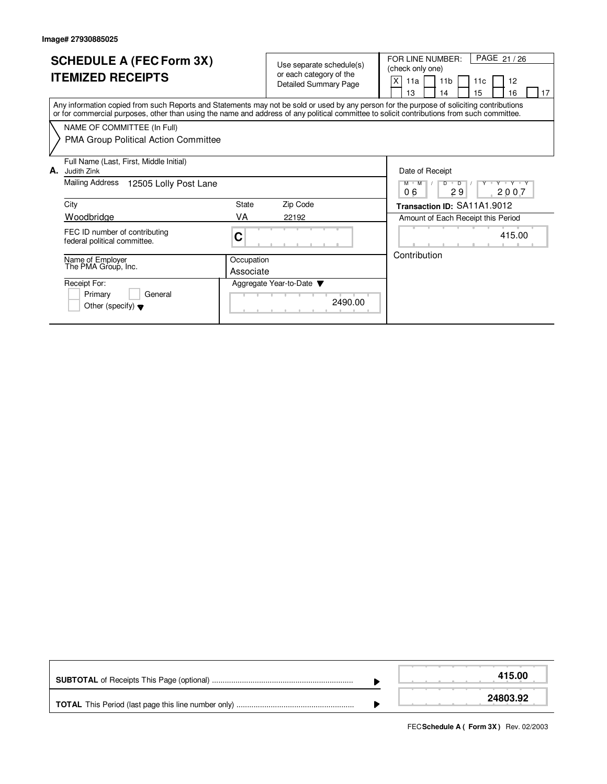| <b>SCHEDULE A (FEC Form 3X)</b><br><b>ITEMIZED RECEIPTS</b>                                                                                                                                                                                                                             |            | Use separate schedule(s)<br>or each category of the<br><b>Detailed Summary Page</b> | PAGE 21 / 26<br>FOR LINE NUMBER:<br>(check only one)<br>X<br>11 <sub>b</sub><br>12<br>11a<br>11c<br>15<br>13<br>16<br>17<br>14 |
|-----------------------------------------------------------------------------------------------------------------------------------------------------------------------------------------------------------------------------------------------------------------------------------------|------------|-------------------------------------------------------------------------------------|--------------------------------------------------------------------------------------------------------------------------------|
| Any information copied from such Reports and Statements may not be sold or used by any person for the purpose of soliciting contributions<br>or for commercial purposes, other than using the name and address of any political committee to solicit contributions from such committee. |            |                                                                                     |                                                                                                                                |
| NAME OF COMMITTEE (In Full)                                                                                                                                                                                                                                                             |            |                                                                                     |                                                                                                                                |
| <b>PMA Group Political Action Committee</b>                                                                                                                                                                                                                                             |            |                                                                                     |                                                                                                                                |
| Full Name (Last, First, Middle Initial)                                                                                                                                                                                                                                                 |            |                                                                                     |                                                                                                                                |
| А.<br>Judith Zink                                                                                                                                                                                                                                                                       |            |                                                                                     | Date of Receipt                                                                                                                |
| Mailing Address<br>12505 Lolly Post Lane                                                                                                                                                                                                                                                |            |                                                                                     | $D$ <sup><math>\Box</math></sup><br>$M$ $M$<br>$\overline{D}$<br>$V = Y$<br>29<br>06<br>2007                                   |
| City                                                                                                                                                                                                                                                                                    | State      | Zip Code                                                                            | Transaction ID: SA11A1.9012                                                                                                    |
| Woodbridge                                                                                                                                                                                                                                                                              | VA         | 22192                                                                               | Amount of Each Receipt this Period                                                                                             |
| FEC ID number of contributing<br>federal political committee.                                                                                                                                                                                                                           | C          |                                                                                     | 415.00                                                                                                                         |
| Name of Employer<br>The PMA Group, Inc.                                                                                                                                                                                                                                                 | Occupation |                                                                                     | Contribution                                                                                                                   |
|                                                                                                                                                                                                                                                                                         | Associate  |                                                                                     |                                                                                                                                |
| Receipt For:                                                                                                                                                                                                                                                                            |            | Aggregate Year-to-Date $\blacktriangledown$                                         |                                                                                                                                |
| Primary<br>General<br>Other (specify) $\blacktriangledown$                                                                                                                                                                                                                              |            | 2490.00                                                                             |                                                                                                                                |

|  | 415.00   |
|--|----------|
|  | 24803.92 |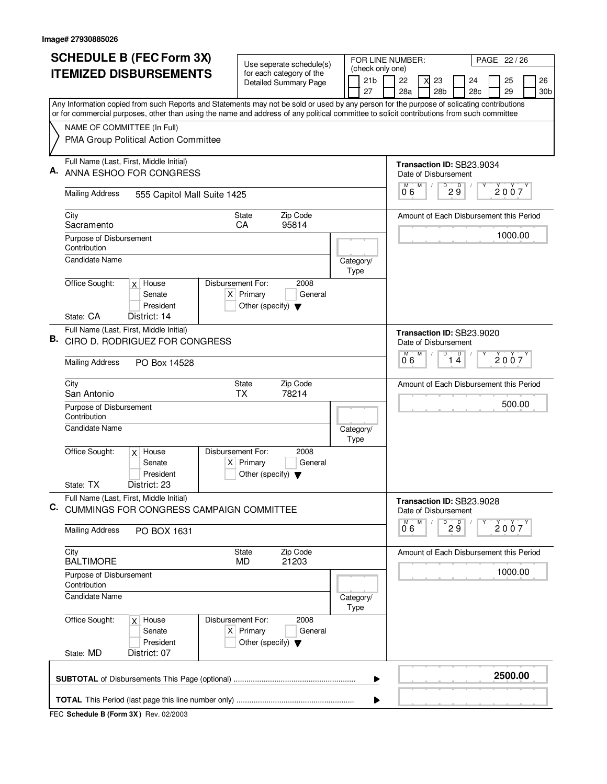| <b>SCHEDULE B (FEC Form 3X)</b> |                                                                  |                                                                                                                                           | Use seperate schedule(s) |                                                                                                 |                   |  |  |                   | FOR LINE NUMBER:<br>PAGE 22 / 26                  |   |                                         |                                 |         |  |         |  |                 |
|---------------------------------|------------------------------------------------------------------|-------------------------------------------------------------------------------------------------------------------------------------------|--------------------------|-------------------------------------------------------------------------------------------------|-------------------|--|--|-------------------|---------------------------------------------------|---|-----------------------------------------|---------------------------------|---------|--|---------|--|-----------------|
|                                 | <b>ITEMIZED DISBURSEMENTS</b>                                    |                                                                                                                                           |                          | (check only one)<br>for each category of the<br>21 <sub>b</sub><br><b>Detailed Summary Page</b> |                   |  |  |                   | 22                                                |   | 23                                      |                                 | 24      |  | 25      |  | 26              |
|                                 |                                                                  |                                                                                                                                           |                          |                                                                                                 |                   |  |  | 27                | 28a                                               |   | 28 <sub>b</sub>                         |                                 | 28c     |  | 29      |  | 30 <sub>b</sub> |
|                                 |                                                                  | Any Information copied from such Reports and Statements may not be sold or used by any person for the purpose of solicating contributions |                          |                                                                                                 |                   |  |  |                   |                                                   |   |                                         |                                 |         |  |         |  |                 |
|                                 |                                                                  | or for commercial purposes, other than using the name and address of any political committee to solicit contributions from such committee |                          |                                                                                                 |                   |  |  |                   |                                                   |   |                                         |                                 |         |  |         |  |                 |
|                                 | NAME OF COMMITTEE (In Full)                                      | PMA Group Political Action Committee                                                                                                      |                          |                                                                                                 |                   |  |  |                   |                                                   |   |                                         |                                 |         |  |         |  |                 |
| Α.                              |                                                                  | Full Name (Last, First, Middle Initial)<br>ANNA ESHOO FOR CONGRESS                                                                        |                          |                                                                                                 |                   |  |  |                   | Transaction ID: SB23.9034                         |   | Date of Disbursement                    |                                 |         |  |         |  |                 |
|                                 | <b>Mailing Address</b>                                           | 555 Capitol Mall Suite 1425                                                                                                               |                          |                                                                                                 |                   |  |  |                   | M<br>06                                           | M | D                                       | D<br>2 ğ                        |         |  | 2007    |  |                 |
|                                 | City<br>Sacramento                                               |                                                                                                                                           |                          | <b>State</b><br>CA                                                                              | Zip Code<br>95814 |  |  |                   |                                                   |   | Amount of Each Disbursement this Period |                                 |         |  |         |  |                 |
|                                 | Purpose of Disbursement<br>Contribution<br><b>Candidate Name</b> |                                                                                                                                           |                          |                                                                                                 |                   |  |  |                   |                                                   |   |                                         |                                 |         |  | 1000.00 |  |                 |
|                                 | Office Sought:                                                   | $x$ House                                                                                                                                 | Disbursement For:        |                                                                                                 | 2008              |  |  | Category/<br>Type |                                                   |   |                                         |                                 |         |  |         |  |                 |
|                                 |                                                                  | Senate<br>President                                                                                                                       |                          | $X$ Primary<br>Other (specify) $\blacktriangledown$                                             | General           |  |  |                   |                                                   |   |                                         |                                 |         |  |         |  |                 |
|                                 | State: CA                                                        | District: 14                                                                                                                              |                          |                                                                                                 |                   |  |  |                   |                                                   |   |                                         |                                 |         |  |         |  |                 |
| В.                              |                                                                  | Full Name (Last, First, Middle Initial)<br>CIRO D. RODRIGUEZ FOR CONGRESS                                                                 |                          |                                                                                                 |                   |  |  |                   | Transaction ID: SB23.9020<br>M                    | M | Date of Disbursement<br>$\overline{D}$  | D                               |         |  |         |  |                 |
|                                 | <b>Mailing Address</b>                                           | PO Box 14528                                                                                                                              |                          |                                                                                                 |                   |  |  |                   | 06                                                |   |                                         | $1\overline{4}$                 |         |  | 2007    |  |                 |
|                                 | City<br>San Antonio                                              |                                                                                                                                           |                          | Zip Code<br>State<br><b>TX</b><br>78214                                                         |                   |  |  |                   | Amount of Each Disbursement this Period<br>500.00 |   |                                         |                                 |         |  |         |  |                 |
|                                 | Purpose of Disbursement<br>Contribution<br><b>Candidate Name</b> |                                                                                                                                           |                          |                                                                                                 |                   |  |  | Category/         |                                                   |   |                                         |                                 |         |  |         |  |                 |
|                                 |                                                                  |                                                                                                                                           |                          |                                                                                                 |                   |  |  | <b>Type</b>       |                                                   |   |                                         |                                 |         |  |         |  |                 |
|                                 | Office Sought:                                                   | $x$ House<br>Senate<br>President                                                                                                          | Disbursement For:        | $X$ Primary<br>Other (specify) $\blacktriangledown$                                             | 2008<br>General   |  |  |                   |                                                   |   |                                         |                                 |         |  |         |  |                 |
|                                 | State: TX                                                        | District: 23                                                                                                                              |                          |                                                                                                 |                   |  |  |                   |                                                   |   |                                         |                                 |         |  |         |  |                 |
| C.                              |                                                                  | Full Name (Last, First, Middle Initial)<br>CUMMINGS FOR CONGRESS CAMPAIGN COMMITTEE                                                       |                          |                                                                                                 |                   |  |  |                   | Transaction ID: SB23.9028<br>М                    | M | Date of Disbursement                    |                                 |         |  |         |  |                 |
|                                 | <b>Mailing Address</b>                                           | PO BOX 1631                                                                                                                               |                          |                                                                                                 |                   |  |  |                   | 06                                                |   |                                         | $D$ <sub>2</sub> $\overline{9}$ |         |  | 2007    |  |                 |
|                                 | City<br><b>BALTIMORE</b>                                         |                                                                                                                                           |                          | State<br><b>MD</b>                                                                              | Zip Code<br>21203 |  |  |                   |                                                   |   | Amount of Each Disbursement this Period |                                 |         |  |         |  |                 |
|                                 | Purpose of Disbursement<br>Contribution                          |                                                                                                                                           |                          |                                                                                                 |                   |  |  |                   |                                                   |   |                                         |                                 | 1000.00 |  |         |  |                 |
|                                 | <b>Candidate Name</b>                                            |                                                                                                                                           |                          |                                                                                                 |                   |  |  | Category/<br>Type |                                                   |   |                                         |                                 |         |  |         |  |                 |
|                                 | Office Sought:                                                   | $x$ House<br>Senate<br>President                                                                                                          | Disbursement For:        | $X$ Primary<br>Other (specify) $\blacktriangledown$                                             | 2008<br>General   |  |  |                   |                                                   |   |                                         |                                 |         |  |         |  |                 |
|                                 | State: MD                                                        | District: 07                                                                                                                              |                          |                                                                                                 |                   |  |  |                   |                                                   |   |                                         |                                 |         |  |         |  |                 |
|                                 |                                                                  |                                                                                                                                           |                          |                                                                                                 |                   |  |  | ▶                 |                                                   |   |                                         |                                 |         |  | 2500.00 |  |                 |
|                                 |                                                                  |                                                                                                                                           |                          |                                                                                                 |                   |  |  | ▶                 |                                                   |   |                                         |                                 |         |  |         |  |                 |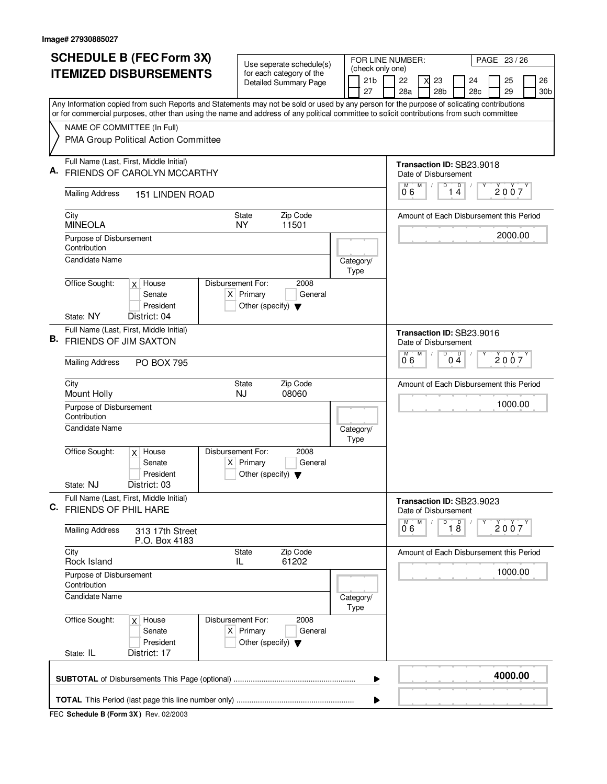| <b>SCHEDULE B (FEC Form 3X)</b> |                                                                                                                                                                                                                                                                                        |                                         |                                                                                                 |                                                     | Use seperate schedule(s) |  |  | FOR LINE NUMBER:  |    |                                                    |                                         |                                     | PAGE 23 / 26   |     |                                         |  |                 |  |  |  |  |  |
|---------------------------------|----------------------------------------------------------------------------------------------------------------------------------------------------------------------------------------------------------------------------------------------------------------------------------------|-----------------------------------------|-------------------------------------------------------------------------------------------------|-----------------------------------------------------|--------------------------|--|--|-------------------|----|----------------------------------------------------|-----------------------------------------|-------------------------------------|----------------|-----|-----------------------------------------|--|-----------------|--|--|--|--|--|
| <b>ITEMIZED DISBURSEMENTS</b>   |                                                                                                                                                                                                                                                                                        |                                         | (check only one)<br>for each category of the<br>21 <sub>b</sub><br><b>Detailed Summary Page</b> |                                                     |                          |  |  |                   | 22 | X                                                  | 23                                      |                                     | 26<br>24<br>25 |     |                                         |  |                 |  |  |  |  |  |
|                                 |                                                                                                                                                                                                                                                                                        |                                         |                                                                                                 |                                                     |                          |  |  | 27                |    | 28a                                                |                                         | 28 <sub>b</sub>                     |                | 28c | 29                                      |  | 30 <sub>b</sub> |  |  |  |  |  |
|                                 | Any Information copied from such Reports and Statements may not be sold or used by any person for the purpose of solicating contributions<br>or for commercial purposes, other than using the name and address of any political committee to solicit contributions from such committee |                                         |                                                                                                 |                                                     |                          |  |  |                   |    |                                                    |                                         |                                     |                |     |                                         |  |                 |  |  |  |  |  |
|                                 | NAME OF COMMITTEE (In Full)                                                                                                                                                                                                                                                            |                                         |                                                                                                 |                                                     |                          |  |  |                   |    |                                                    |                                         |                                     |                |     |                                         |  |                 |  |  |  |  |  |
|                                 | PMA Group Political Action Committee                                                                                                                                                                                                                                                   |                                         |                                                                                                 |                                                     |                          |  |  |                   |    |                                                    |                                         |                                     |                |     |                                         |  |                 |  |  |  |  |  |
| А.                              | Full Name (Last, First, Middle Initial)<br>FRIENDS OF CAROLYN MCCARTHY                                                                                                                                                                                                                 |                                         |                                                                                                 |                                                     |                          |  |  |                   |    | Transaction ID: SB23.9018                          |                                         |                                     |                |     |                                         |  |                 |  |  |  |  |  |
|                                 |                                                                                                                                                                                                                                                                                        |                                         |                                                                                                 |                                                     |                          |  |  |                   |    | Date of Disbursement<br>M<br>D<br>$\mathsf D$<br>М |                                         |                                     |                |     |                                         |  |                 |  |  |  |  |  |
|                                 | <b>Mailing Address</b><br><b>151 LINDEN ROAD</b>                                                                                                                                                                                                                                       |                                         |                                                                                                 |                                                     |                          |  |  |                   |    |                                                    | 2007<br>14<br>06                        |                                     |                |     |                                         |  |                 |  |  |  |  |  |
|                                 | Zip Code<br>City<br><b>State</b><br><b>MINEOLA</b><br>11501<br>NY.                                                                                                                                                                                                                     |                                         |                                                                                                 |                                                     |                          |  |  |                   |    |                                                    | Amount of Each Disbursement this Period |                                     |                |     |                                         |  |                 |  |  |  |  |  |
|                                 | Purpose of Disbursement<br>Contribution                                                                                                                                                                                                                                                |                                         |                                                                                                 |                                                     |                          |  |  |                   |    |                                                    |                                         |                                     |                |     | 2000.00                                 |  |                 |  |  |  |  |  |
|                                 | <b>Candidate Name</b>                                                                                                                                                                                                                                                                  |                                         |                                                                                                 |                                                     |                          |  |  | Category/<br>Type |    |                                                    |                                         |                                     |                |     |                                         |  |                 |  |  |  |  |  |
|                                 | Office Sought:                                                                                                                                                                                                                                                                         | $x$ House<br>Senate<br>President        | Disbursement For:                                                                               | $X$ Primary<br>Other (specify) $\blacktriangledown$ | 2008<br>General          |  |  |                   |    |                                                    |                                         |                                     |                |     |                                         |  |                 |  |  |  |  |  |
|                                 | State: NY                                                                                                                                                                                                                                                                              | District: 04                            |                                                                                                 |                                                     |                          |  |  |                   |    |                                                    |                                         |                                     |                |     |                                         |  |                 |  |  |  |  |  |
|                                 | <b>B.</b> FRIENDS OF JIM SAXTON                                                                                                                                                                                                                                                        | Full Name (Last, First, Middle Initial) |                                                                                                 |                                                     |                          |  |  |                   |    | Transaction ID: SB23.9016<br>Date of Disbursement  |                                         |                                     |                |     |                                         |  |                 |  |  |  |  |  |
|                                 | <b>Mailing Address</b>                                                                                                                                                                                                                                                                 | <b>PO BOX 795</b>                       |                                                                                                 |                                                     |                          |  |  |                   |    | D<br>D<br>M<br>M<br>2007<br>0 <sub>4</sub><br>06   |                                         |                                     |                |     |                                         |  |                 |  |  |  |  |  |
|                                 | City<br>Mount Holly                                                                                                                                                                                                                                                                    |                                         |                                                                                                 | State<br><b>NJ</b>                                  | Zip Code<br>08060        |  |  |                   |    | Amount of Each Disbursement this Period            |                                         |                                     |                |     |                                         |  |                 |  |  |  |  |  |
|                                 | Contribution                                                                                                                                                                                                                                                                           | Purpose of Disbursement                 |                                                                                                 |                                                     |                          |  |  |                   |    |                                                    |                                         | 1000.00                             |                |     |                                         |  |                 |  |  |  |  |  |
|                                 | <b>Candidate Name</b>                                                                                                                                                                                                                                                                  |                                         |                                                                                                 |                                                     |                          |  |  | Category/<br>Type |    |                                                    |                                         |                                     |                |     |                                         |  |                 |  |  |  |  |  |
|                                 | Office Sought:                                                                                                                                                                                                                                                                         | $x$ House<br>Senate<br>President        | Disbursement For:                                                                               | $X$ Primary<br>Other (specify) $\blacktriangledown$ | 2008<br>General          |  |  |                   |    |                                                    |                                         |                                     |                |     |                                         |  |                 |  |  |  |  |  |
|                                 | State: NJ                                                                                                                                                                                                                                                                              | District: 03                            |                                                                                                 |                                                     |                          |  |  |                   |    |                                                    |                                         |                                     |                |     |                                         |  |                 |  |  |  |  |  |
| C.                              | <b>FRIENDS OF PHIL HARE</b>                                                                                                                                                                                                                                                            | Full Name (Last, First, Middle Initial) |                                                                                                 |                                                     |                          |  |  |                   |    | Transaction ID: SB23.9023<br>Date of Disbursement  |                                         | D                                   |                | Υ   |                                         |  |                 |  |  |  |  |  |
|                                 | <b>Mailing Address</b><br>313 17th Street<br>P.O. Box 4183                                                                                                                                                                                                                             |                                         |                                                                                                 |                                                     |                          |  |  |                   |    |                                                    |                                         | M<br>$\overline{18}$<br>2007<br>0 6 |                |     |                                         |  |                 |  |  |  |  |  |
|                                 | City<br>Rock Island                                                                                                                                                                                                                                                                    |                                         |                                                                                                 | State<br>IL                                         | Zip Code<br>61202        |  |  |                   |    |                                                    |                                         |                                     |                |     | Amount of Each Disbursement this Period |  |                 |  |  |  |  |  |
|                                 | Purpose of Disbursement<br>Contribution                                                                                                                                                                                                                                                |                                         |                                                                                                 |                                                     |                          |  |  |                   |    |                                                    |                                         |                                     |                |     | 1000.00                                 |  |                 |  |  |  |  |  |
|                                 | <b>Candidate Name</b>                                                                                                                                                                                                                                                                  |                                         |                                                                                                 |                                                     |                          |  |  | Category/<br>Type |    |                                                    |                                         |                                     |                |     |                                         |  |                 |  |  |  |  |  |
|                                 | Office Sought:                                                                                                                                                                                                                                                                         | $x$ House<br>Senate<br>President        | Disbursement For:                                                                               | $X$ Primary<br>Other (specify) $\blacktriangledown$ | 2008<br>General          |  |  |                   |    |                                                    |                                         |                                     |                |     |                                         |  |                 |  |  |  |  |  |
|                                 | State: IL                                                                                                                                                                                                                                                                              | District: 17                            |                                                                                                 |                                                     |                          |  |  |                   |    |                                                    |                                         |                                     |                |     |                                         |  |                 |  |  |  |  |  |
|                                 |                                                                                                                                                                                                                                                                                        |                                         |                                                                                                 |                                                     |                          |  |  | ▶                 |    |                                                    |                                         |                                     |                |     | 4000.00                                 |  |                 |  |  |  |  |  |
|                                 |                                                                                                                                                                                                                                                                                        |                                         |                                                                                                 |                                                     |                          |  |  |                   |    |                                                    |                                         |                                     |                |     |                                         |  |                 |  |  |  |  |  |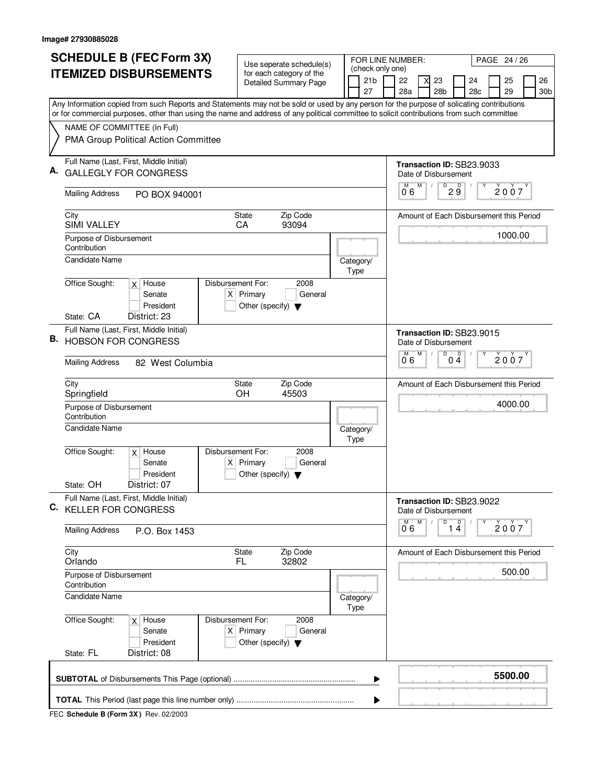|    | <b>SCHEDULE B (FEC Form 3X)</b>                                                                                                                                          | Use seperate schedule(s)                                               |                                  |      |                                     |                                | FOR LINE NUMBER:<br>PAGE 24 / 26 |                           |                      |                                                    |     |  |                                         |  |                 |  |  |  |  |
|----|--------------------------------------------------------------------------------------------------------------------------------------------------------------------------|------------------------------------------------------------------------|----------------------------------|------|-------------------------------------|--------------------------------|----------------------------------|---------------------------|----------------------|----------------------------------------------------|-----|--|-----------------------------------------|--|-----------------|--|--|--|--|
|    | <b>ITEMIZED DISBURSEMENTS</b>                                                                                                                                            | for each category of the                                               |                                  |      | (check only one)<br>21 <sub>b</sub> |                                | 22                               |                           | 23                   |                                                    | 24  |  | 25                                      |  | 26              |  |  |  |  |
|    |                                                                                                                                                                          | <b>Detailed Summary Page</b>                                           |                                  |      | 27                                  |                                | 28a                              |                           | 28 <sub>b</sub>      |                                                    | 28c |  | 29                                      |  | 30 <sub>b</sub> |  |  |  |  |
|    | Any Information copied from such Reports and Statements may not be sold or used by any person for the purpose of solicating contributions                                |                                                                        |                                  |      |                                     |                                |                                  |                           |                      |                                                    |     |  |                                         |  |                 |  |  |  |  |
|    | or for commercial purposes, other than using the name and address of any political committee to solicit contributions from such committee<br>NAME OF COMMITTEE (In Full) |                                                                        |                                  |      |                                     |                                |                                  |                           |                      |                                                    |     |  |                                         |  |                 |  |  |  |  |
|    | PMA Group Political Action Committee                                                                                                                                     |                                                                        |                                  |      |                                     |                                |                                  |                           |                      |                                                    |     |  |                                         |  |                 |  |  |  |  |
| А. | Full Name (Last, First, Middle Initial)<br><b>GALLEGLY FOR CONGRESS</b>                                                                                                  |                                                                        |                                  |      |                                     |                                | Transaction ID: SB23.9033        |                           | Date of Disbursement |                                                    |     |  |                                         |  |                 |  |  |  |  |
|    | <b>Mailing Address</b><br>PO BOX 940001                                                                                                                                  | M<br>$D^D$ 2 $\overline{9}$<br>M<br>2007<br>06                         |                                  |      |                                     |                                |                                  |                           |                      |                                                    |     |  |                                         |  |                 |  |  |  |  |
|    | City<br><b>State</b><br><b>SIMI VALLEY</b><br>CA                                                                                                                         | Amount of Each Disbursement this Period<br>1000.00                     |                                  |      |                                     |                                |                                  |                           |                      |                                                    |     |  |                                         |  |                 |  |  |  |  |
|    | Purpose of Disbursement<br>Contribution<br><b>Candidate Name</b>                                                                                                         |                                                                        |                                  |      |                                     |                                |                                  |                           |                      |                                                    |     |  |                                         |  |                 |  |  |  |  |
|    | Office Sought:<br>Disbursement For:<br>$x$ House                                                                                                                         | 2008                                                                   |                                  | Type | Category/                           |                                |                                  |                           |                      |                                                    |     |  |                                         |  |                 |  |  |  |  |
|    | Senate<br>President                                                                                                                                                      | $X$ Primary<br>General<br>Other (specify) $\blacktriangledown$         |                                  |      |                                     |                                |                                  |                           |                      |                                                    |     |  |                                         |  |                 |  |  |  |  |
|    | District: 23<br>State: CA                                                                                                                                                |                                                                        |                                  |      |                                     |                                |                                  |                           |                      |                                                    |     |  |                                         |  |                 |  |  |  |  |
| В. | Full Name (Last, First, Middle Initial)<br><b>HOBSON FOR CONGRESS</b>                                                                                                    |                                                                        |                                  |      |                                     | Transaction ID: SB23.9015<br>M | M                                | Date of Disbursement<br>D |                      |                                                    |     |  |                                         |  |                 |  |  |  |  |
|    | <b>Mailing Address</b><br>82 West Columbia                                                                                                                               |                                                                        | $0\stackrel{D}{4}$<br>2007<br>06 |      |                                     |                                |                                  |                           |                      |                                                    |     |  |                                         |  |                 |  |  |  |  |
|    | City<br>Springfield                                                                                                                                                      | Zip Code<br>State<br>OH<br>45503                                       |                                  |      |                                     |                                |                                  |                           |                      | Amount of Each Disbursement this Period<br>4000.00 |     |  |                                         |  |                 |  |  |  |  |
|    | Purpose of Disbursement<br>Contribution                                                                                                                                  |                                                                        |                                  |      |                                     |                                |                                  |                           |                      |                                                    |     |  |                                         |  |                 |  |  |  |  |
|    | <b>Candidate Name</b>                                                                                                                                                    |                                                                        |                                  |      |                                     |                                |                                  |                           |                      |                                                    |     |  |                                         |  |                 |  |  |  |  |
|    | Office Sought:<br>Disbursement For:<br>$x$ House<br>Senate<br>President                                                                                                  | 2008<br>$X$ Primary<br>General<br>Other (specify) $\blacktriangledown$ |                                  |      |                                     |                                |                                  |                           |                      |                                                    |     |  |                                         |  |                 |  |  |  |  |
|    | State: OH<br>District: 07                                                                                                                                                |                                                                        |                                  |      |                                     |                                |                                  |                           |                      |                                                    |     |  |                                         |  |                 |  |  |  |  |
| C. | Full Name (Last, First, Middle Initial)<br><b>KELLER FOR CONGRESS</b>                                                                                                    |                                                                        |                                  |      |                                     |                                | Transaction ID: SB23.9022        |                           | Date of Disbursement |                                                    |     |  |                                         |  |                 |  |  |  |  |
|    | <b>Mailing Address</b><br>P.O. Box 1453                                                                                                                                  |                                                                        |                                  |      |                                     |                                | M<br>06                          | M                         | D                    | 1 <sup>D</sup>                                     |     |  | 2007                                    |  |                 |  |  |  |  |
|    | City<br>Orlando                                                                                                                                                          | Zip Code<br>State<br>FL.<br>32802                                      |                                  |      |                                     |                                |                                  |                           |                      |                                                    |     |  | Amount of Each Disbursement this Period |  |                 |  |  |  |  |
|    | Purpose of Disbursement<br>Contribution                                                                                                                                  |                                                                        |                                  |      |                                     |                                |                                  |                           |                      | 500.00                                             |     |  |                                         |  |                 |  |  |  |  |
|    | <b>Candidate Name</b>                                                                                                                                                    |                                                                        |                                  |      | Category/<br>Type                   |                                |                                  |                           |                      |                                                    |     |  |                                         |  |                 |  |  |  |  |
|    | Office Sought:<br>Disbursement For:<br>$x$ House<br>Senate<br>President<br>State: FL<br>District: 08                                                                     | 2008<br>$X$ Primary<br>General<br>Other (specify) $\blacktriangledown$ |                                  |      |                                     |                                |                                  |                           |                      |                                                    |     |  |                                         |  |                 |  |  |  |  |
|    |                                                                                                                                                                          |                                                                        |                                  |      |                                     |                                |                                  |                           |                      |                                                    |     |  |                                         |  |                 |  |  |  |  |
|    |                                                                                                                                                                          |                                                                        |                                  |      | ▶                                   |                                |                                  |                           |                      |                                                    |     |  | 5500.00                                 |  |                 |  |  |  |  |
|    |                                                                                                                                                                          |                                                                        |                                  |      | ▶                                   |                                |                                  |                           |                      |                                                    |     |  |                                         |  |                 |  |  |  |  |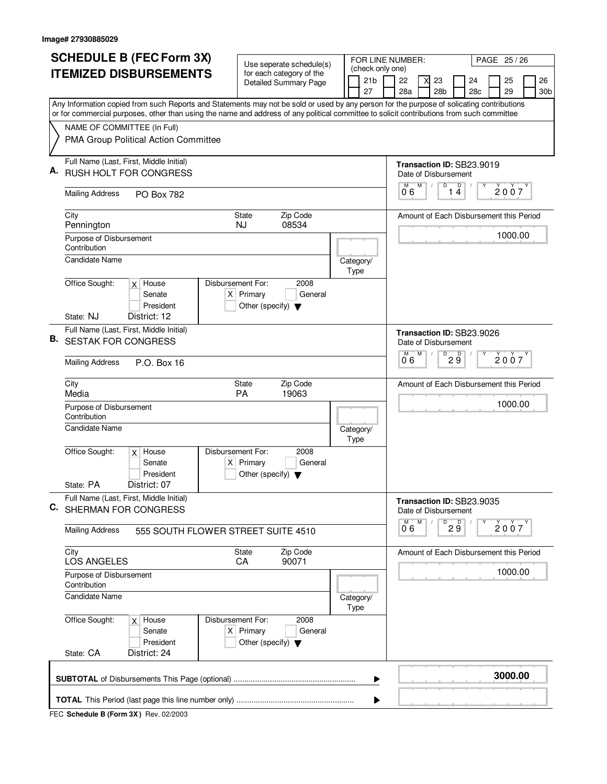|    | <b>SCHEDULE B (FEC Form 3X)</b>                                                                                                                                          | Use seperate schedule(s)                                                                    |                                                                                 | FOR LINE NUMBER:                                        |                           |                                         |   |                 |                           | PAGE 25 / 26                            |  |         |  |                 |  |
|----|--------------------------------------------------------------------------------------------------------------------------------------------------------------------------|---------------------------------------------------------------------------------------------|---------------------------------------------------------------------------------|---------------------------------------------------------|---------------------------|-----------------------------------------|---|-----------------|---------------------------|-----------------------------------------|--|---------|--|-----------------|--|
|    | <b>ITEMIZED DISBURSEMENTS</b>                                                                                                                                            | for each category of the                                                                    |                                                                                 | (check only one)<br>21 <sub>b</sub>                     |                           | 22                                      |   | 23              |                           | 24                                      |  | 25      |  | 26              |  |
|    |                                                                                                                                                                          | <b>Detailed Summary Page</b>                                                                |                                                                                 | 27                                                      |                           | 28a                                     |   | 28 <sub>b</sub> |                           | 28c                                     |  | 29      |  | 30 <sub>b</sub> |  |
|    | Any Information copied from such Reports and Statements may not be sold or used by any person for the purpose of solicating contributions                                |                                                                                             |                                                                                 |                                                         |                           |                                         |   |                 |                           |                                         |  |         |  |                 |  |
|    | or for commercial purposes, other than using the name and address of any political committee to solicit contributions from such committee<br>NAME OF COMMITTEE (In Full) |                                                                                             |                                                                                 |                                                         |                           |                                         |   |                 |                           |                                         |  |         |  |                 |  |
|    | PMA Group Political Action Committee                                                                                                                                     |                                                                                             |                                                                                 |                                                         |                           |                                         |   |                 |                           |                                         |  |         |  |                 |  |
| А. | Full Name (Last, First, Middle Initial)<br>RUSH HOLT FOR CONGRESS                                                                                                        |                                                                                             | Transaction ID: SB23.9019<br>Date of Disbursement<br>$\mathsf D$<br>M<br>D<br>M |                                                         |                           |                                         |   |                 |                           |                                         |  |         |  |                 |  |
|    | <b>Mailing Address</b><br><b>PO Box 782</b>                                                                                                                              | 2007<br>14<br>06                                                                            |                                                                                 |                                                         |                           |                                         |   |                 |                           |                                         |  |         |  |                 |  |
|    | City<br><b>State</b><br>Pennington<br><b>NJ</b>                                                                                                                          |                                                                                             | Amount of Each Disbursement this Period<br>1000.00                              |                                                         |                           |                                         |   |                 |                           |                                         |  |         |  |                 |  |
|    | Purpose of Disbursement<br>Contribution                                                                                                                                  |                                                                                             |                                                                                 |                                                         |                           |                                         |   |                 |                           |                                         |  |         |  |                 |  |
|    | <b>Candidate Name</b><br>$x$ House                                                                                                                                       | Disbursement For:                                                                           |                                                                                 | Category/<br>Type                                       |                           |                                         |   |                 |                           |                                         |  |         |  |                 |  |
|    | Office Sought:<br>Senate<br>President                                                                                                                                    | 2008<br>$X$ Primary<br>General<br>Other (specify) $\blacktriangledown$                      |                                                                                 |                                                         |                           |                                         |   |                 |                           |                                         |  |         |  |                 |  |
|    | State: NJ<br>District: 12                                                                                                                                                |                                                                                             |                                                                                 |                                                         |                           |                                         |   |                 |                           |                                         |  |         |  |                 |  |
| В. | Full Name (Last, First, Middle Initial)<br><b>SESTAK FOR CONGRESS</b>                                                                                                    |                                                                                             |                                                                                 |                                                         | Date of Disbursement<br>М | M                                       | D |                 | Transaction ID: SB23.9026 |                                         |  |         |  |                 |  |
|    | <b>Mailing Address</b><br>P.O. Box 16                                                                                                                                    |                                                                                             |                                                                                 |                                                         |                           | 29<br>2007<br>06                        |   |                 |                           |                                         |  |         |  |                 |  |
|    | City<br>Media                                                                                                                                                            | Zip Code<br>State<br>PA<br>19063                                                            |                                                                                 |                                                         |                           | Amount of Each Disbursement this Period |   |                 |                           |                                         |  |         |  |                 |  |
|    | Purpose of Disbursement<br>Contribution                                                                                                                                  |                                                                                             |                                                                                 |                                                         |                           |                                         |   |                 |                           | 1000.00                                 |  |         |  |                 |  |
|    | <b>Candidate Name</b>                                                                                                                                                    |                                                                                             |                                                                                 | Category/<br>Type                                       |                           |                                         |   |                 |                           |                                         |  |         |  |                 |  |
|    | Office Sought:<br>Disbursement For:<br>$x$ House<br>Senate<br>President                                                                                                  | 2008<br>$X$ Primary<br>General<br>Other (specify) $\blacktriangledown$                      |                                                                                 |                                                         |                           |                                         |   |                 |                           |                                         |  |         |  |                 |  |
|    | State: PA<br>District: 07                                                                                                                                                |                                                                                             |                                                                                 |                                                         |                           |                                         |   |                 |                           |                                         |  |         |  |                 |  |
| C. | Full Name (Last, First, Middle Initial)<br>SHERMAN FOR CONGRESS                                                                                                          |                                                                                             |                                                                                 |                                                         |                           | Date of Disbursement                    |   |                 |                           | Transaction ID: SB23.9035               |  |         |  |                 |  |
|    | <b>Mailing Address</b><br>555 SOUTH FLOWER STREET SUITE 4510                                                                                                             |                                                                                             |                                                                                 | M<br>$\overline{P}$ 2 $\overline{9}$<br>М<br>2007<br>06 |                           |                                         |   |                 |                           |                                         |  |         |  |                 |  |
|    | City<br>LOS ANGELES                                                                                                                                                      | Zip Code<br><b>State</b><br>90071<br>CA                                                     |                                                                                 |                                                         |                           |                                         |   |                 |                           | Amount of Each Disbursement this Period |  |         |  |                 |  |
|    | Purpose of Disbursement<br>Contribution                                                                                                                                  |                                                                                             |                                                                                 |                                                         |                           |                                         |   |                 |                           | 1000.00                                 |  |         |  |                 |  |
|    | <b>Candidate Name</b>                                                                                                                                                    |                                                                                             |                                                                                 | Category/<br>Type                                       |                           |                                         |   |                 |                           |                                         |  |         |  |                 |  |
|    | Office Sought:<br>$x$ House<br>Senate<br>President                                                                                                                       | Disbursement For:<br>2008<br>$X$ Primary<br>General<br>Other (specify) $\blacktriangledown$ |                                                                                 |                                                         |                           |                                         |   |                 |                           |                                         |  |         |  |                 |  |
|    | State: CA<br>District: 24                                                                                                                                                |                                                                                             |                                                                                 |                                                         |                           |                                         |   |                 |                           |                                         |  |         |  |                 |  |
|    |                                                                                                                                                                          |                                                                                             |                                                                                 | ▶                                                       |                           |                                         |   |                 |                           |                                         |  | 3000.00 |  |                 |  |
|    |                                                                                                                                                                          |                                                                                             |                                                                                 | ▶                                                       |                           |                                         |   |                 |                           |                                         |  |         |  |                 |  |